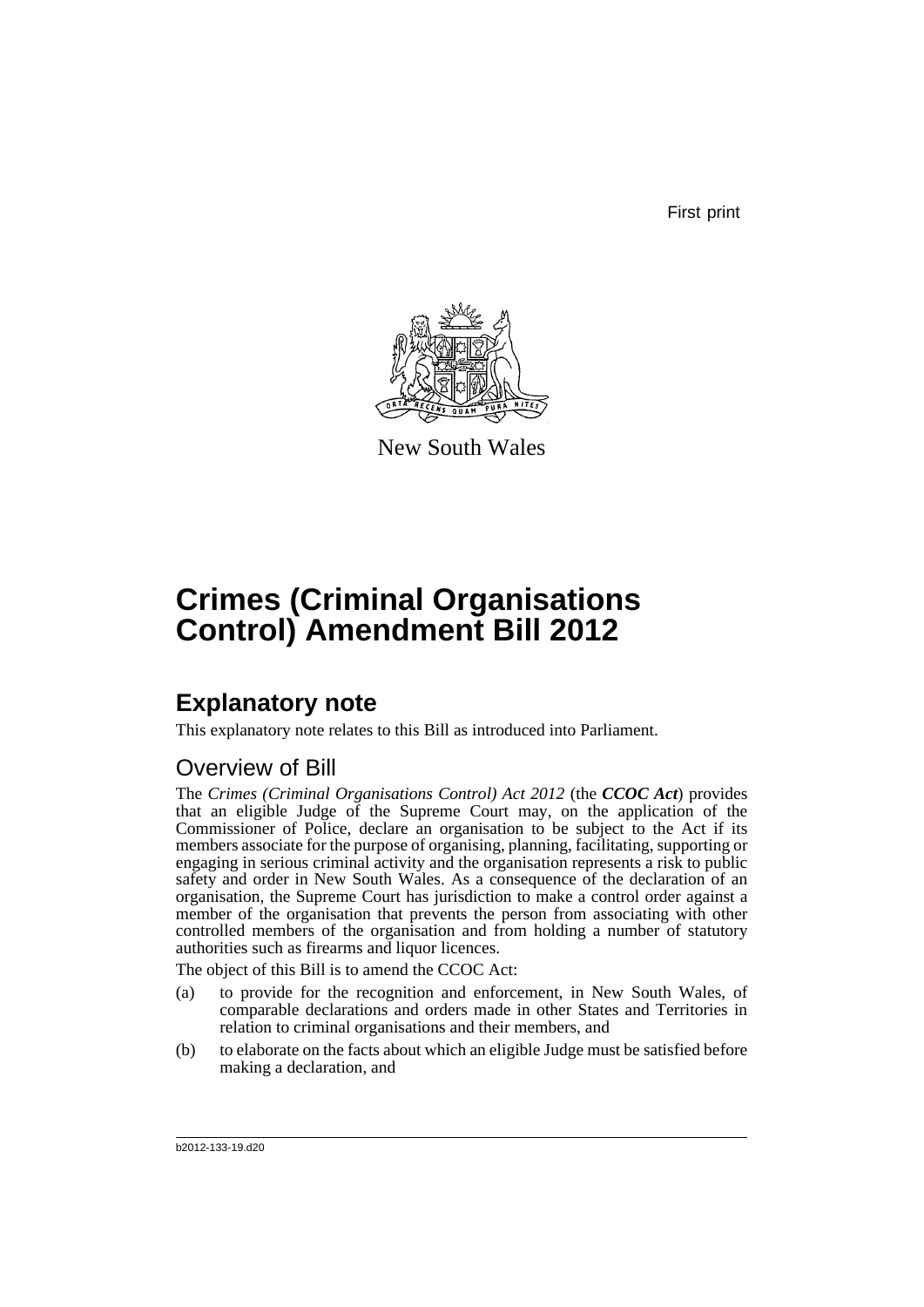First print



New South Wales

# **Crimes (Criminal Organisations Control) Amendment Bill 2012**

# **Explanatory note**

This explanatory note relates to this Bill as introduced into Parliament.

## Overview of Bill

The *Crimes (Criminal Organisations Control) Act 2012* (the *CCOC Act*) provides that an eligible Judge of the Supreme Court may, on the application of the Commissioner of Police, declare an organisation to be subject to the Act if its members associate for the purpose of organising, planning, facilitating, supporting or engaging in serious criminal activity and the organisation represents a risk to public safety and order in New South Wales. As a consequence of the declaration of an organisation, the Supreme Court has jurisdiction to make a control order against a member of the organisation that prevents the person from associating with other controlled members of the organisation and from holding a number of statutory authorities such as firearms and liquor licences.

The object of this Bill is to amend the CCOC Act:

- (a) to provide for the recognition and enforcement, in New South Wales, of comparable declarations and orders made in other States and Territories in relation to criminal organisations and their members, and
- (b) to elaborate on the facts about which an eligible Judge must be satisfied before making a declaration, and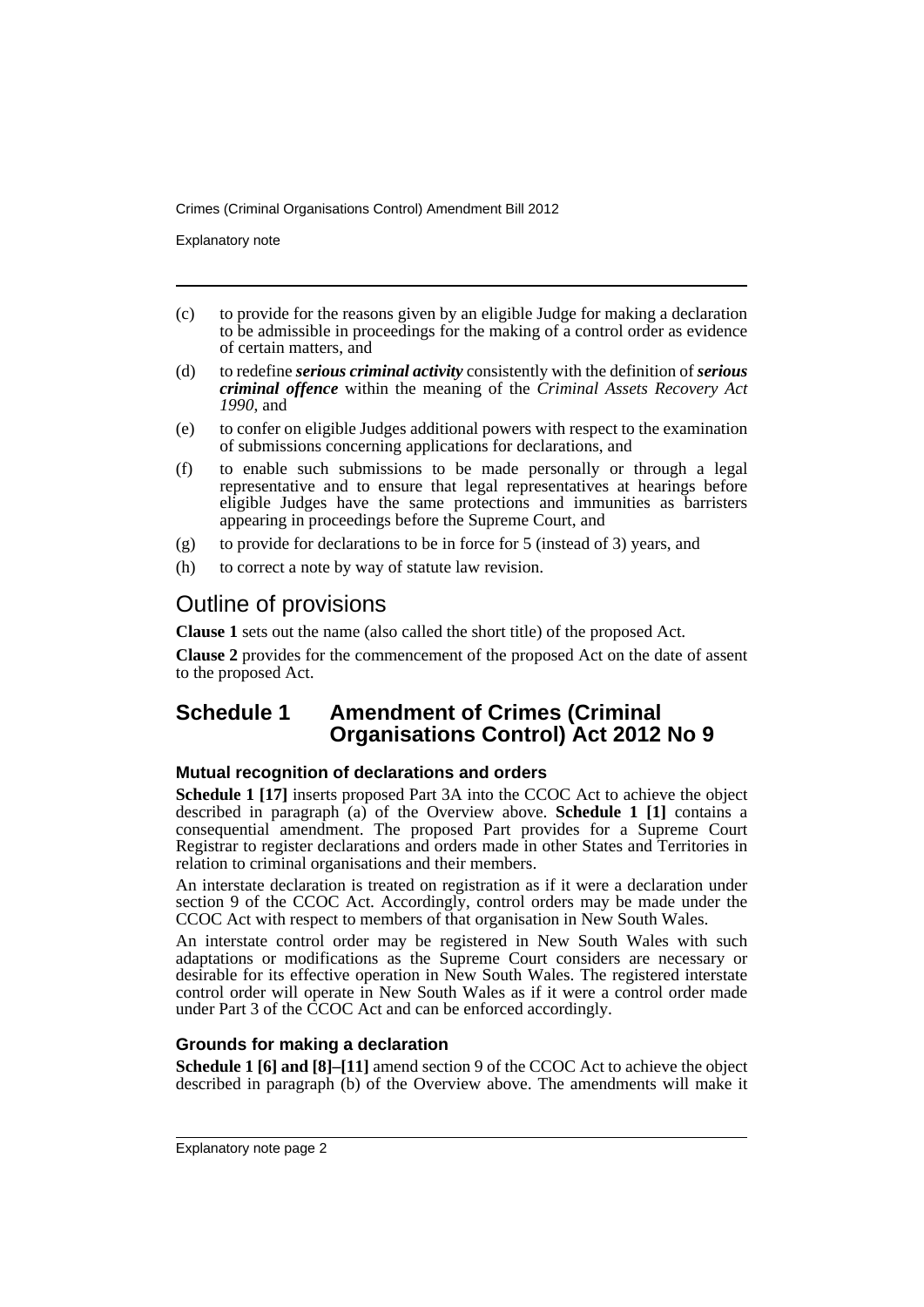Explanatory note

- (c) to provide for the reasons given by an eligible Judge for making a declaration to be admissible in proceedings for the making of a control order as evidence of certain matters, and
- (d) to redefine *serious criminal activity* consistently with the definition of *serious criminal offence* within the meaning of the *Criminal Assets Recovery Act 1990*, and
- (e) to confer on eligible Judges additional powers with respect to the examination of submissions concerning applications for declarations, and
- (f) to enable such submissions to be made personally or through a legal representative and to ensure that legal representatives at hearings before eligible Judges have the same protections and immunities as barristers appearing in proceedings before the Supreme Court, and
- (g) to provide for declarations to be in force for 5 (instead of 3) years, and
- (h) to correct a note by way of statute law revision.

## Outline of provisions

**Clause 1** sets out the name (also called the short title) of the proposed Act.

**Clause 2** provides for the commencement of the proposed Act on the date of assent to the proposed Act.

### **Schedule 1 Amendment of Crimes (Criminal Organisations Control) Act 2012 No 9**

### **Mutual recognition of declarations and orders**

**Schedule 1 [17]** inserts proposed Part 3A into the CCOC Act to achieve the object described in paragraph (a) of the Overview above. **Schedule 1 [1]** contains a consequential amendment. The proposed Part provides for a Supreme Court Registrar to register declarations and orders made in other States and Territories in relation to criminal organisations and their members.

An interstate declaration is treated on registration as if it were a declaration under section 9 of the CCOC Act. Accordingly, control orders may be made under the CCOC Act with respect to members of that organisation in New South Wales.

An interstate control order may be registered in New South Wales with such adaptations or modifications as the Supreme Court considers are necessary or desirable for its effective operation in New South Wales. The registered interstate control order will operate in New South Wales as if it were a control order made under Part 3 of the CCOC Act and can be enforced accordingly.

### **Grounds for making a declaration**

**Schedule 1 [6] and [8]–[11]** amend section 9 of the CCOC Act to achieve the object described in paragraph (b) of the Overview above. The amendments will make it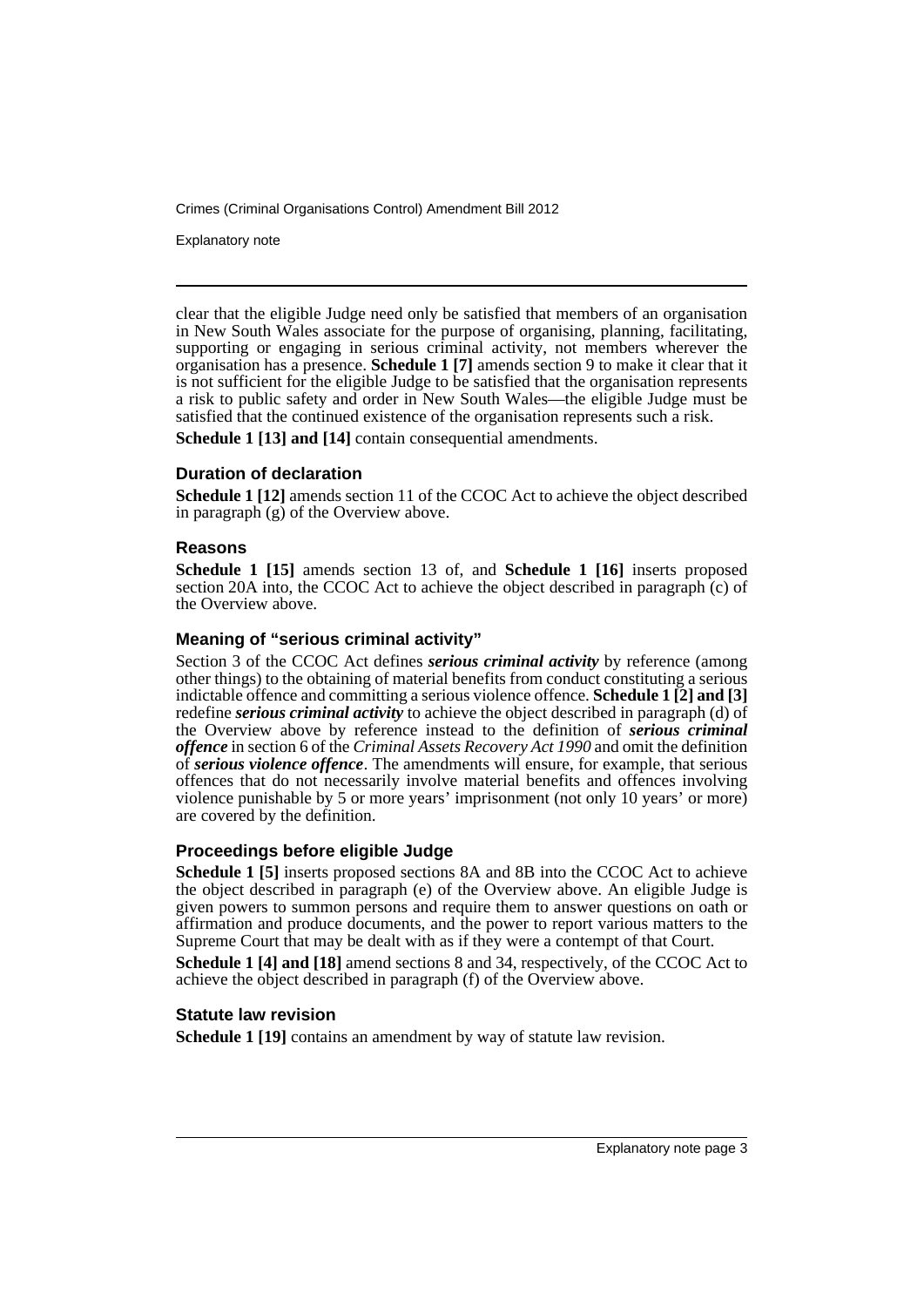Explanatory note

clear that the eligible Judge need only be satisfied that members of an organisation in New South Wales associate for the purpose of organising, planning, facilitating, supporting or engaging in serious criminal activity, not members wherever the organisation has a presence. **Schedule 1 [7]** amends section 9 to make it clear that it is not sufficient for the eligible Judge to be satisfied that the organisation represents a risk to public safety and order in New South Wales—the eligible Judge must be satisfied that the continued existence of the organisation represents such a risk.

**Schedule 1 [13] and [14]** contain consequential amendments.

### **Duration of declaration**

**Schedule 1 [12]** amends section 11 of the CCOC Act to achieve the object described in paragraph (g) of the Overview above.

### **Reasons**

**Schedule 1 [15]** amends section 13 of, and **Schedule 1 [16]** inserts proposed section 20A into, the CCOC Act to achieve the object described in paragraph (c) of the Overview above.

### **Meaning of "serious criminal activity"**

Section 3 of the CCOC Act defines *serious criminal activity* by reference (among other things) to the obtaining of material benefits from conduct constituting a serious indictable offence and committing a serious violence offence. **Schedule 1 [2] and [3]** redefine *serious criminal activity* to achieve the object described in paragraph (d) of the Overview above by reference instead to the definition of *serious criminal offence* in section 6 of the *Criminal Assets Recovery Act 1990* and omit the definition of *serious violence offence*. The amendments will ensure, for example, that serious offences that do not necessarily involve material benefits and offences involving violence punishable by 5 or more years' imprisonment (not only 10 years' or more) are covered by the definition.

### **Proceedings before eligible Judge**

**Schedule 1 [5]** inserts proposed sections 8A and 8B into the CCOC Act to achieve the object described in paragraph (e) of the Overview above. An eligible Judge is given powers to summon persons and require them to answer questions on oath or affirmation and produce documents, and the power to report various matters to the Supreme Court that may be dealt with as if they were a contempt of that Court.

**Schedule 1 [4] and [18]** amend sections 8 and 34, respectively, of the CCOC Act to achieve the object described in paragraph (f) of the Overview above.

### **Statute law revision**

**Schedule 1 [19]** contains an amendment by way of statute law revision.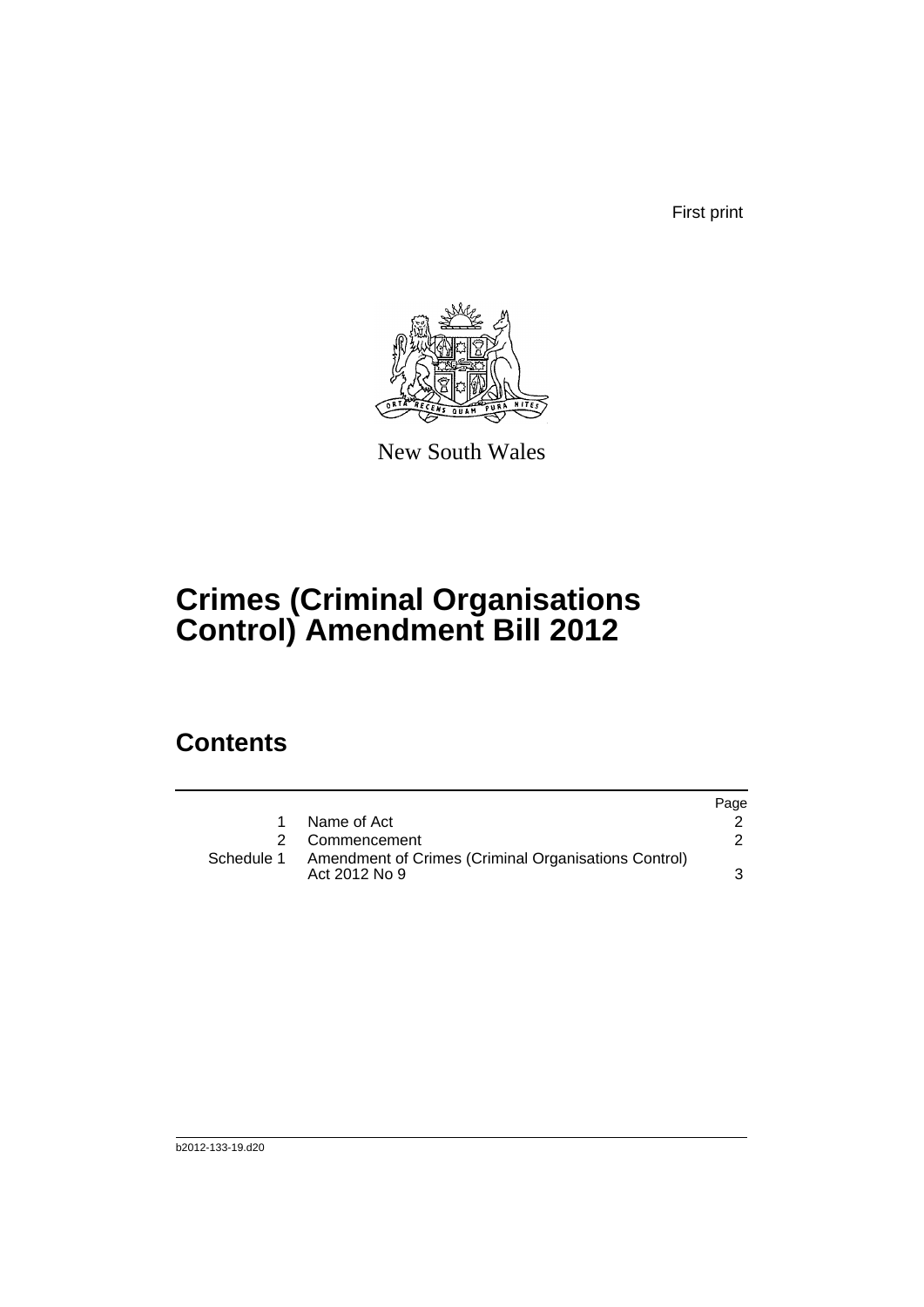First print



New South Wales

# **Crimes (Criminal Organisations Control) Amendment Bill 2012**

## **Contents**

|            |                                                                       | Page |
|------------|-----------------------------------------------------------------------|------|
|            | Name of Act                                                           |      |
|            | Commencement                                                          |      |
| Schedule 1 | Amendment of Crimes (Criminal Organisations Control)<br>Act 2012 No 9 |      |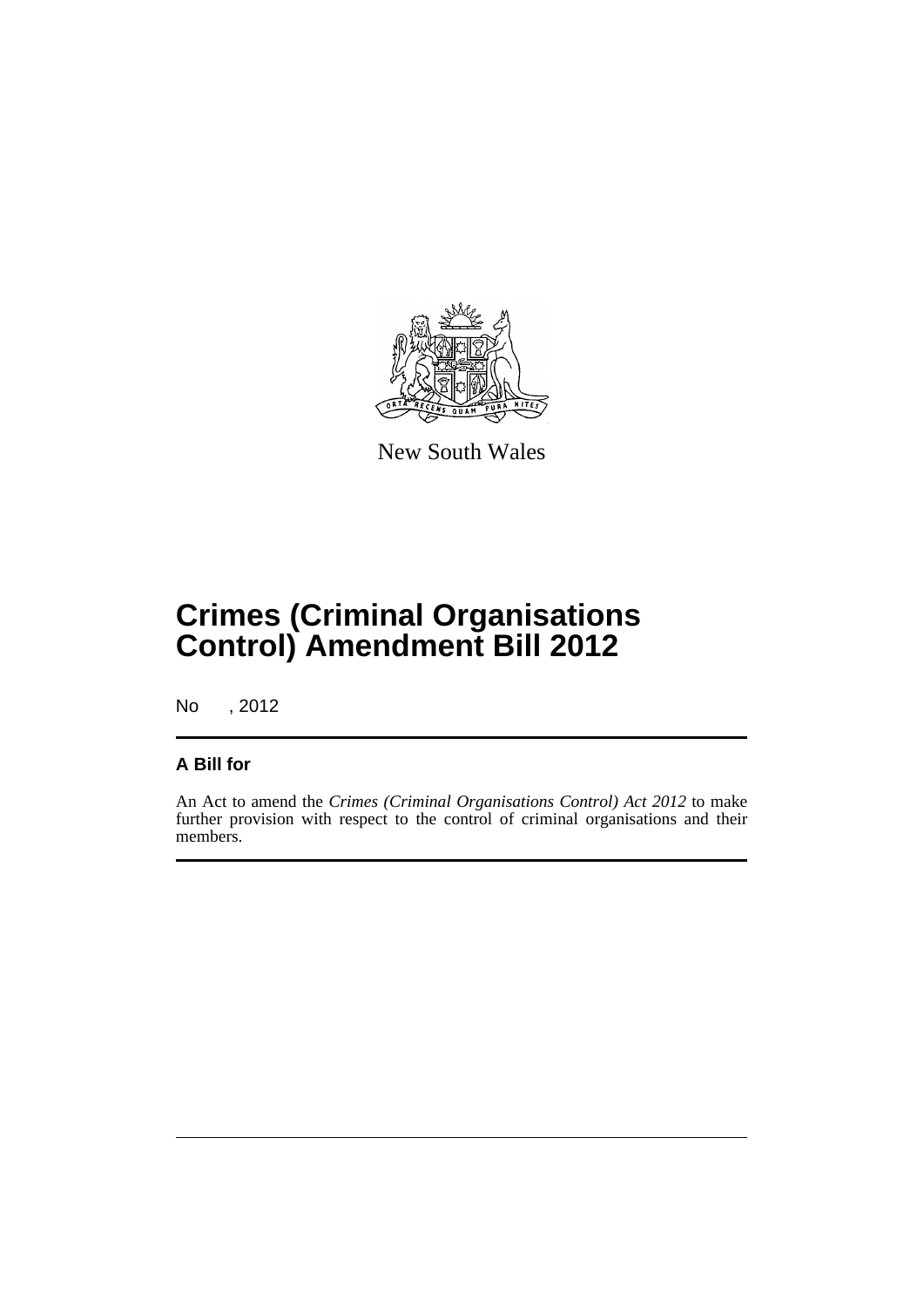

New South Wales

# **Crimes (Criminal Organisations Control) Amendment Bill 2012**

No , 2012

### **A Bill for**

An Act to amend the *Crimes (Criminal Organisations Control) Act 2012* to make further provision with respect to the control of criminal organisations and their members.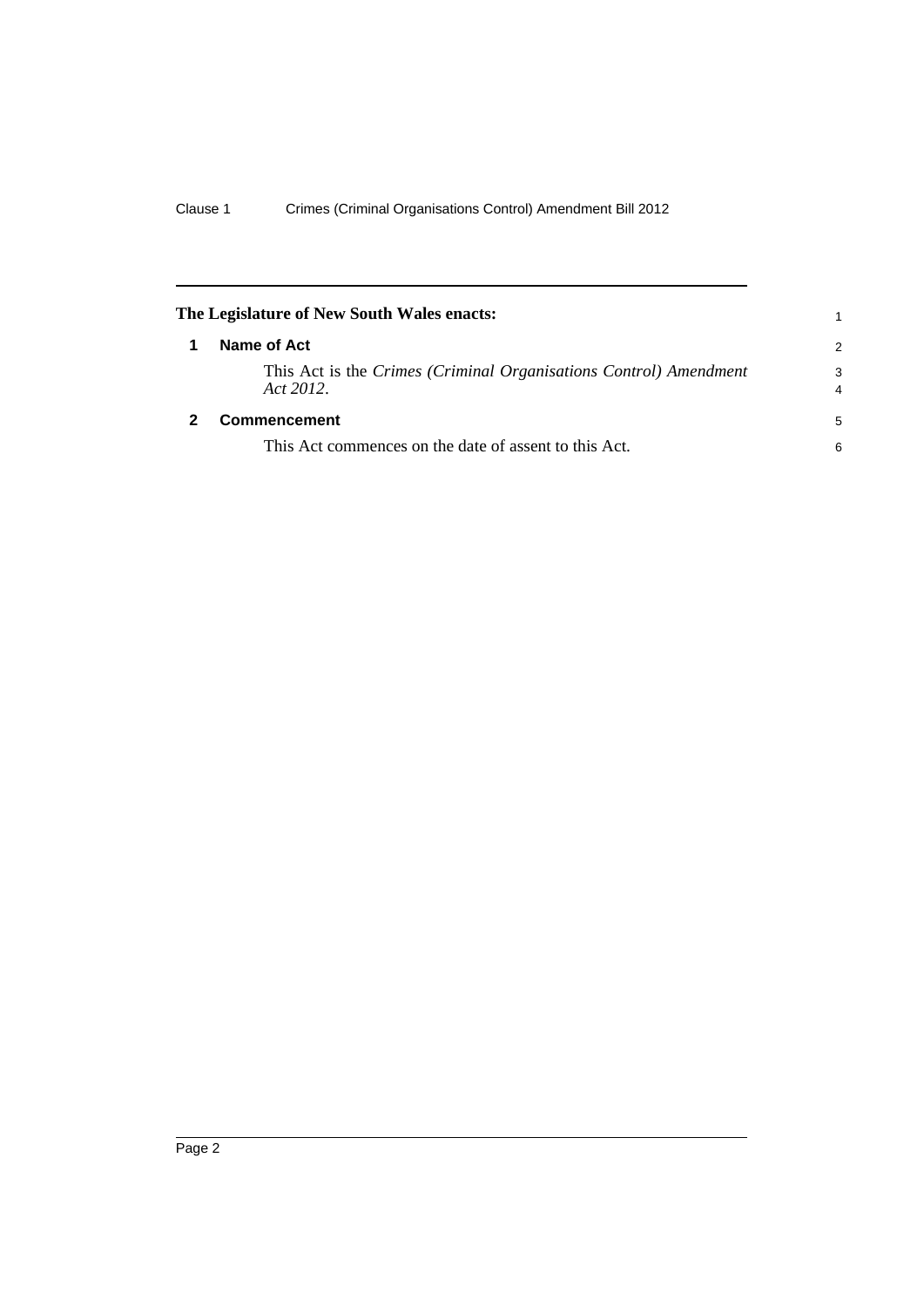<span id="page-7-1"></span><span id="page-7-0"></span>

| The Legislature of New South Wales enacts: |                                                                                |               |  |  |  |
|--------------------------------------------|--------------------------------------------------------------------------------|---------------|--|--|--|
|                                            | Name of Act                                                                    | $\mathcal{P}$ |  |  |  |
|                                            | This Act is the Crimes (Criminal Organisations Control) Amendment<br>Act 2012. | 3<br>4        |  |  |  |
|                                            | <b>Commencement</b>                                                            | 5             |  |  |  |
|                                            | This Act commences on the date of assent to this Act.                          | 6             |  |  |  |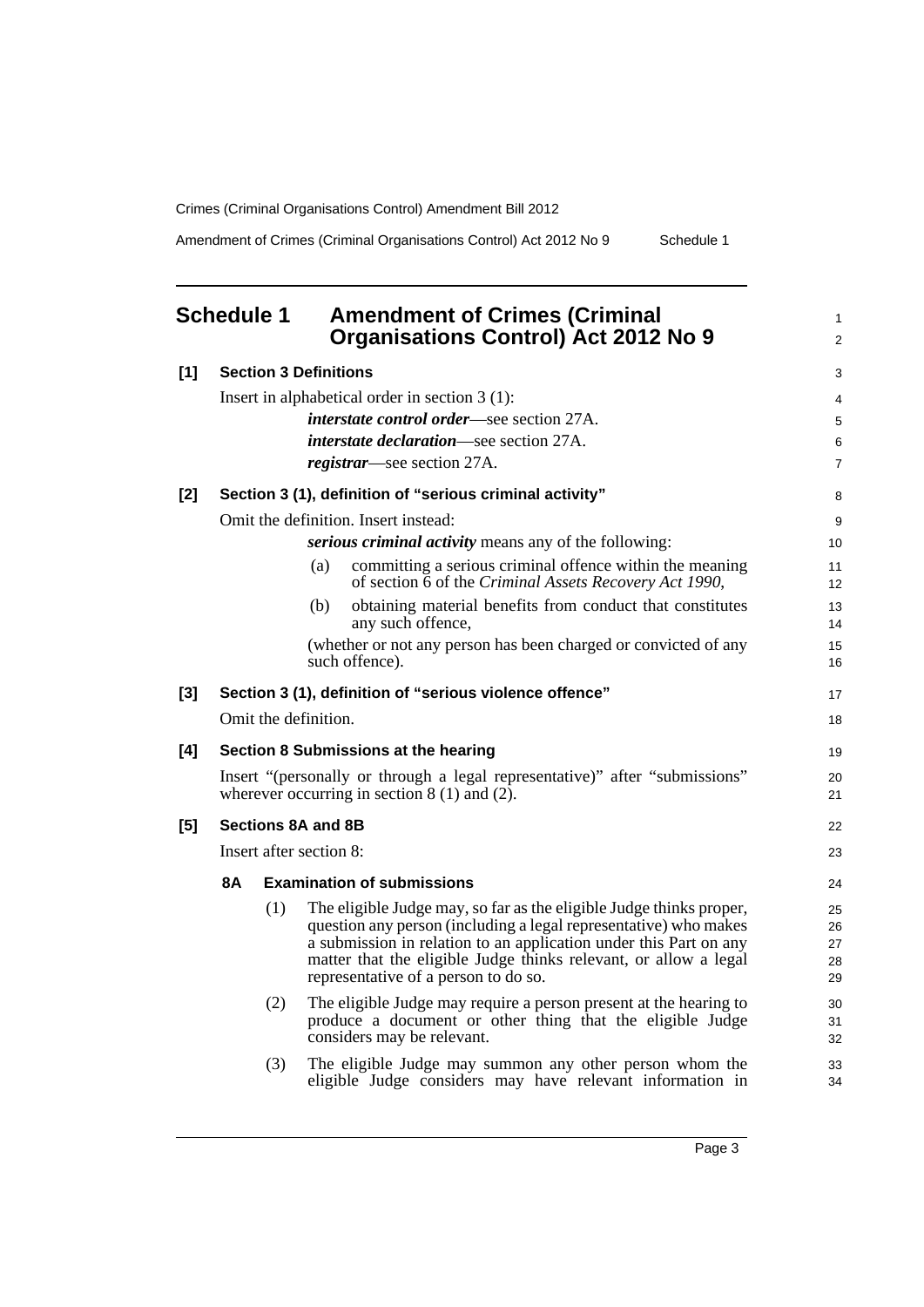<span id="page-8-0"></span>

|       | <b>Schedule 1</b>            |     | <b>Amendment of Crimes (Criminal</b><br><b>Organisations Control) Act 2012 No 9</b>                                                   | 1<br>2   |  |  |
|-------|------------------------------|-----|---------------------------------------------------------------------------------------------------------------------------------------|----------|--|--|
| $[1]$ | <b>Section 3 Definitions</b> |     |                                                                                                                                       |          |  |  |
|       |                              |     | Insert in alphabetical order in section $3(1)$ :                                                                                      | 4        |  |  |
|       |                              |     | <i>interstate control order</i> —see section 27A.                                                                                     | 5        |  |  |
|       |                              |     | interstate declaration-see section 27A.                                                                                               | 6        |  |  |
|       |                              |     | <i>registrar</i> —see section 27A.                                                                                                    | 7        |  |  |
| $[2]$ |                              |     | Section 3 (1), definition of "serious criminal activity"                                                                              | 8        |  |  |
|       |                              |     | Omit the definition. Insert instead:                                                                                                  | 9        |  |  |
|       |                              |     | <i>serious criminal activity</i> means any of the following:                                                                          | 10       |  |  |
|       |                              |     | committing a serious criminal offence within the meaning<br>(a)<br>of section 6 of the Criminal Assets Recovery Act 1990,             | 11<br>12 |  |  |
|       |                              |     | obtaining material benefits from conduct that constitutes<br>(b)<br>any such offence,                                                 | 13<br>14 |  |  |
|       |                              |     | (whether or not any person has been charged or convicted of any<br>such offence).                                                     | 15<br>16 |  |  |
| $[3]$ |                              |     | Section 3 (1), definition of "serious violence offence"                                                                               | 17       |  |  |
|       |                              |     | Omit the definition.                                                                                                                  | 18       |  |  |
| [4]   |                              |     | Section 8 Submissions at the hearing                                                                                                  | 19       |  |  |
|       |                              |     | Insert "(personally or through a legal representative)" after "submissions"<br>wherever occurring in section $8(1)$ and $(2)$ .       | 20<br>21 |  |  |
| $[5]$ |                              |     | <b>Sections 8A and 8B</b>                                                                                                             | 22       |  |  |
|       | Insert after section 8:      |     |                                                                                                                                       |          |  |  |
|       | <b>8A</b>                    |     | <b>Examination of submissions</b>                                                                                                     | 24       |  |  |
|       |                              | (1) | The eligible Judge may, so far as the eligible Judge thinks proper,                                                                   | 25       |  |  |
|       |                              |     | question any person (including a legal representative) who makes<br>a submission in relation to an application under this Part on any | 26<br>27 |  |  |
|       |                              |     | matter that the eligible Judge thinks relevant, or allow a legal                                                                      | 28       |  |  |
|       |                              |     | representative of a person to do so.                                                                                                  | 29       |  |  |
|       |                              | (2) | The eligible Judge may require a person present at the hearing to                                                                     | 30       |  |  |
|       |                              |     | produce a document or other thing that the eligible Judge<br>considers may be relevant.                                               | 31<br>32 |  |  |
|       |                              | (3) | The eligible Judge may summon any other person whom the                                                                               | 33       |  |  |
|       |                              |     | eligible Judge considers may have relevant information in                                                                             | 34       |  |  |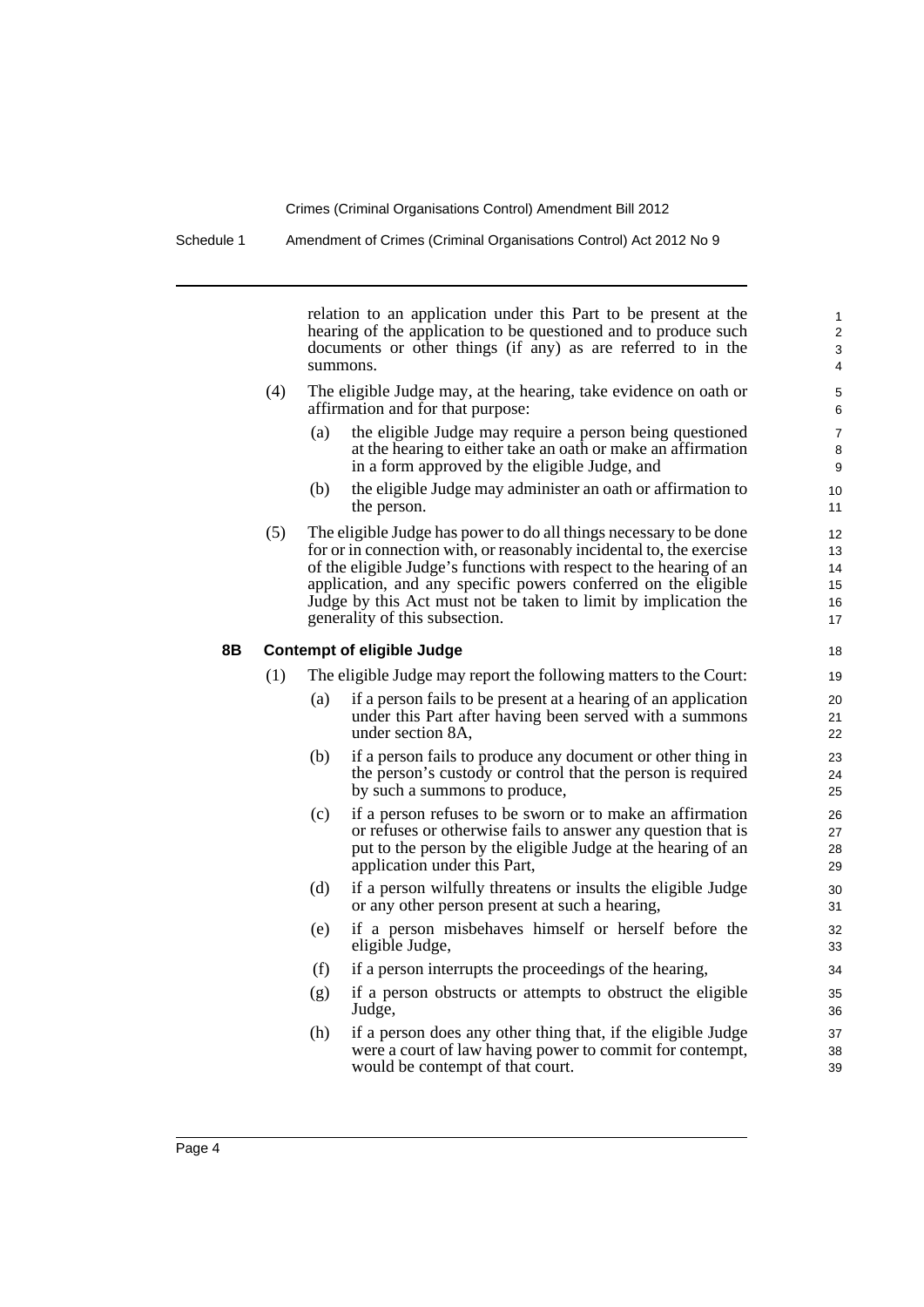relation to an application under this Part to be present at the hearing of the application to be questioned and to produce such documents or other things (if any) as are referred to in the summons.

- (4) The eligible Judge may, at the hearing, take evidence on oath or affirmation and for that purpose:
	- (a) the eligible Judge may require a person being questioned at the hearing to either take an oath or make an affirmation in a form approved by the eligible Judge, and
	- (b) the eligible Judge may administer an oath or affirmation to the person.
- (5) The eligible Judge has power to do all things necessary to be done for or in connection with, or reasonably incidental to, the exercise of the eligible Judge's functions with respect to the hearing of an application, and any specific powers conferred on the eligible Judge by this Act must not be taken to limit by implication the generality of this subsection.

#### **8B Contempt of eligible Judge**

- (1) The eligible Judge may report the following matters to the Court:
	- (a) if a person fails to be present at a hearing of an application under this Part after having been served with a summons under section 8A,
	- (b) if a person fails to produce any document or other thing in the person's custody or control that the person is required by such a summons to produce,
	- (c) if a person refuses to be sworn or to make an affirmation or refuses or otherwise fails to answer any question that is put to the person by the eligible Judge at the hearing of an application under this Part,
	- (d) if a person wilfully threatens or insults the eligible Judge or any other person present at such a hearing,
	- (e) if a person misbehaves himself or herself before the eligible Judge,
	- (f) if a person interrupts the proceedings of the hearing,
	- (g) if a person obstructs or attempts to obstruct the eligible Judge,
	- (h) if a person does any other thing that, if the eligible Judge were a court of law having power to commit for contempt, would be contempt of that court.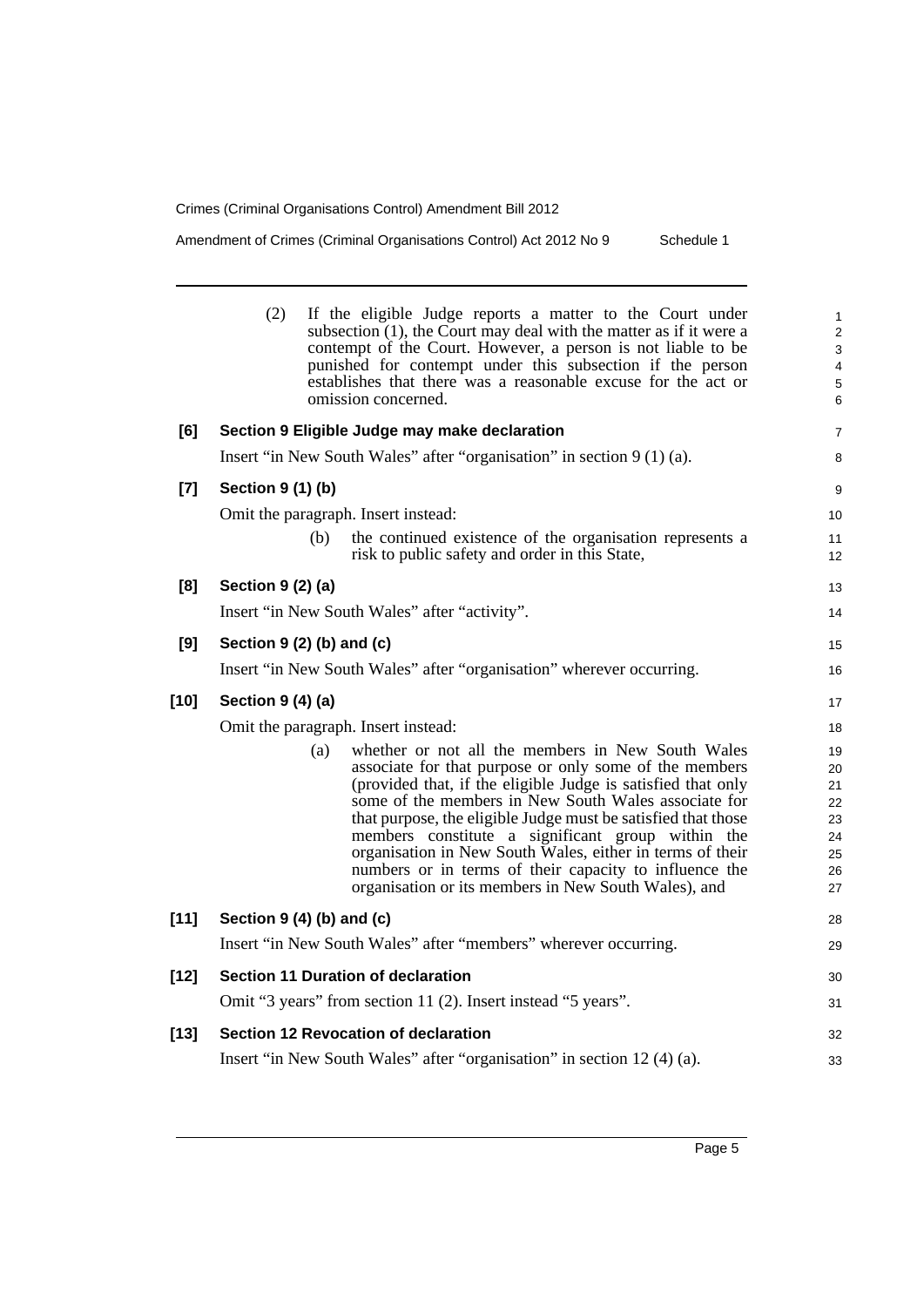|        | (2)<br>If the eligible Judge reports a matter to the Court under<br>subsection $(1)$ , the Court may deal with the matter as if it were a<br>contempt of the Court. However, a person is not liable to be<br>punished for contempt under this subsection if the person<br>establishes that there was a reasonable excuse for the act or<br>omission concerned.                                                                                                                                                                                  | $\mathbf{1}$<br>$\mathbf 2$<br>3<br>4<br>5<br>6    |
|--------|-------------------------------------------------------------------------------------------------------------------------------------------------------------------------------------------------------------------------------------------------------------------------------------------------------------------------------------------------------------------------------------------------------------------------------------------------------------------------------------------------------------------------------------------------|----------------------------------------------------|
| [6]    | Section 9 Eligible Judge may make declaration                                                                                                                                                                                                                                                                                                                                                                                                                                                                                                   | $\overline{\mathbf{7}}$                            |
|        | Insert "in New South Wales" after "organisation" in section 9 (1) (a).                                                                                                                                                                                                                                                                                                                                                                                                                                                                          | 8                                                  |
| $[7]$  | Section 9 (1) (b)                                                                                                                                                                                                                                                                                                                                                                                                                                                                                                                               | 9                                                  |
|        | Omit the paragraph. Insert instead:                                                                                                                                                                                                                                                                                                                                                                                                                                                                                                             | 10                                                 |
|        | the continued existence of the organisation represents a<br>(b)<br>risk to public safety and order in this State,                                                                                                                                                                                                                                                                                                                                                                                                                               | 11<br>12                                           |
| [8]    | Section 9 (2) (a)                                                                                                                                                                                                                                                                                                                                                                                                                                                                                                                               | 13                                                 |
|        | Insert "in New South Wales" after "activity".                                                                                                                                                                                                                                                                                                                                                                                                                                                                                                   | 14                                                 |
| [9]    | Section $9(2)$ (b) and (c)                                                                                                                                                                                                                                                                                                                                                                                                                                                                                                                      | 15                                                 |
|        | Insert "in New South Wales" after "organisation" wherever occurring.                                                                                                                                                                                                                                                                                                                                                                                                                                                                            | 16                                                 |
| $[10]$ | Section 9 (4) (a)                                                                                                                                                                                                                                                                                                                                                                                                                                                                                                                               | 17                                                 |
|        | Omit the paragraph. Insert instead:                                                                                                                                                                                                                                                                                                                                                                                                                                                                                                             | 18                                                 |
|        | whether or not all the members in New South Wales<br>(a)<br>associate for that purpose or only some of the members<br>(provided that, if the eligible Judge is satisfied that only<br>some of the members in New South Wales associate for<br>that purpose, the eligible Judge must be satisfied that those<br>members constitute a significant group within the<br>organisation in New South Wales, either in terms of their<br>numbers or in terms of their capacity to influence the<br>organisation or its members in New South Wales), and | 19<br>20<br>21<br>22<br>23<br>24<br>25<br>26<br>27 |
| $[11]$ | Section $9(4)(b)$ and $(c)$                                                                                                                                                                                                                                                                                                                                                                                                                                                                                                                     | 28                                                 |
|        | Insert "in New South Wales" after "members" wherever occurring.                                                                                                                                                                                                                                                                                                                                                                                                                                                                                 | 29                                                 |
| $[12]$ | <b>Section 11 Duration of declaration</b>                                                                                                                                                                                                                                                                                                                                                                                                                                                                                                       | 30                                                 |
|        | Omit "3 years" from section 11 (2). Insert instead "5 years".                                                                                                                                                                                                                                                                                                                                                                                                                                                                                   | 31                                                 |
| $[13]$ | <b>Section 12 Revocation of declaration</b>                                                                                                                                                                                                                                                                                                                                                                                                                                                                                                     | 32                                                 |
|        | Insert "in New South Wales" after "organisation" in section 12 (4) (a).                                                                                                                                                                                                                                                                                                                                                                                                                                                                         | 33                                                 |
|        |                                                                                                                                                                                                                                                                                                                                                                                                                                                                                                                                                 |                                                    |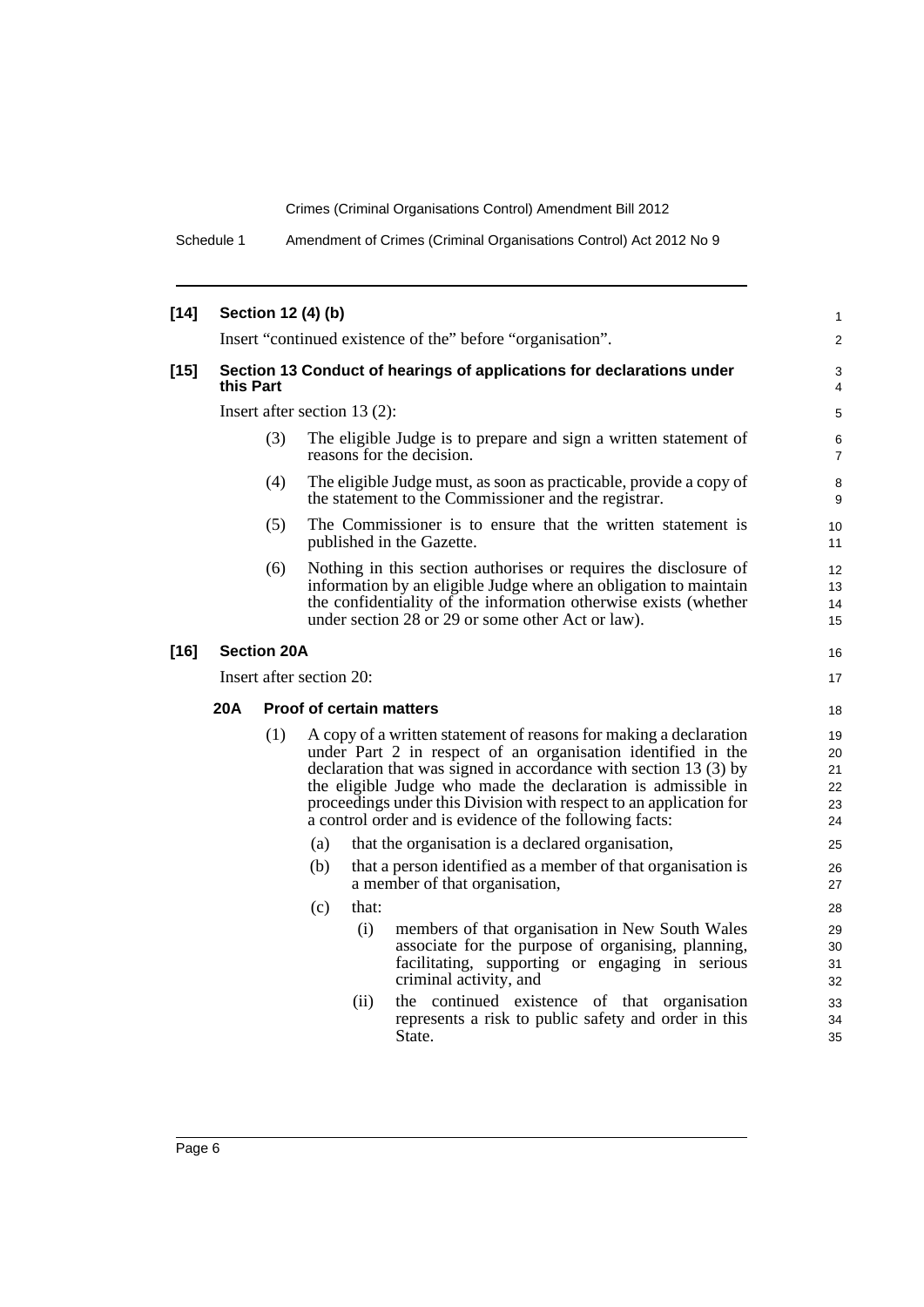Schedule 1 Amendment of Crimes (Criminal Organisations Control) Act 2012 No 9

| $[14]$ |                                        |                    | Section 12 (4) (b) |       |                                                                                                                                                                                                                                                                                                                                                                                                        | $\mathbf{1}$                           |  |  |
|--------|----------------------------------------|--------------------|--------------------|-------|--------------------------------------------------------------------------------------------------------------------------------------------------------------------------------------------------------------------------------------------------------------------------------------------------------------------------------------------------------------------------------------------------------|----------------------------------------|--|--|
|        |                                        |                    |                    |       | Insert "continued existence of the" before "organisation".                                                                                                                                                                                                                                                                                                                                             | $\overline{2}$                         |  |  |
| $[15]$ | this Part                              |                    |                    |       | Section 13 Conduct of hearings of applications for declarations under                                                                                                                                                                                                                                                                                                                                  | 3<br>4                                 |  |  |
|        | Insert after section $13(2)$ :         |                    |                    |       |                                                                                                                                                                                                                                                                                                                                                                                                        |                                        |  |  |
|        |                                        | (3)                |                    |       | The eligible Judge is to prepare and sign a written statement of<br>reasons for the decision.                                                                                                                                                                                                                                                                                                          | 6<br>$\overline{7}$                    |  |  |
|        |                                        | (4)                |                    |       | The eligible Judge must, as soon as practicable, provide a copy of<br>the statement to the Commissioner and the registrar.                                                                                                                                                                                                                                                                             | 8<br>9                                 |  |  |
|        |                                        | (5)                |                    |       | The Commissioner is to ensure that the written statement is<br>published in the Gazette.                                                                                                                                                                                                                                                                                                               | 10 <sup>°</sup><br>11                  |  |  |
|        | (6)                                    |                    |                    |       | Nothing in this section authorises or requires the disclosure of<br>information by an eligible Judge where an obligation to maintain<br>the confidentiality of the information otherwise exists (whether<br>under section 28 or 29 or some other Act or law).                                                                                                                                          | 12 <sup>2</sup><br>13<br>14<br>15      |  |  |
| $[16]$ |                                        | <b>Section 20A</b> |                    |       |                                                                                                                                                                                                                                                                                                                                                                                                        | 16                                     |  |  |
|        | Insert after section 20:               |                    |                    |       |                                                                                                                                                                                                                                                                                                                                                                                                        |                                        |  |  |
|        | 20A<br><b>Proof of certain matters</b> |                    |                    |       |                                                                                                                                                                                                                                                                                                                                                                                                        |                                        |  |  |
|        |                                        | (1)                |                    |       | A copy of a written statement of reasons for making a declaration<br>under Part 2 in respect of an organisation identified in the<br>declaration that was signed in accordance with section 13 (3) by<br>the eligible Judge who made the declaration is admissible in<br>proceedings under this Division with respect to an application for<br>a control order and is evidence of the following facts: | 18<br>19<br>20<br>21<br>22<br>23<br>24 |  |  |
|        |                                        |                    | (a)                |       | that the organisation is a declared organisation,                                                                                                                                                                                                                                                                                                                                                      | 25                                     |  |  |
|        |                                        |                    | (b)                |       | that a person identified as a member of that organisation is<br>a member of that organisation,                                                                                                                                                                                                                                                                                                         | 26<br>27                               |  |  |
|        |                                        |                    | (c)                | that: |                                                                                                                                                                                                                                                                                                                                                                                                        | 28                                     |  |  |
|        |                                        |                    |                    | (i)   | members of that organisation in New South Wales<br>associate for the purpose of organising, planning,<br>facilitating, supporting or engaging in serious<br>criminal activity, and                                                                                                                                                                                                                     | 29<br>30<br>31<br>32                   |  |  |
|        |                                        |                    |                    | (ii)  | the continued existence of that organisation<br>represents a risk to public safety and order in this<br>State.                                                                                                                                                                                                                                                                                         | 33<br>34<br>35                         |  |  |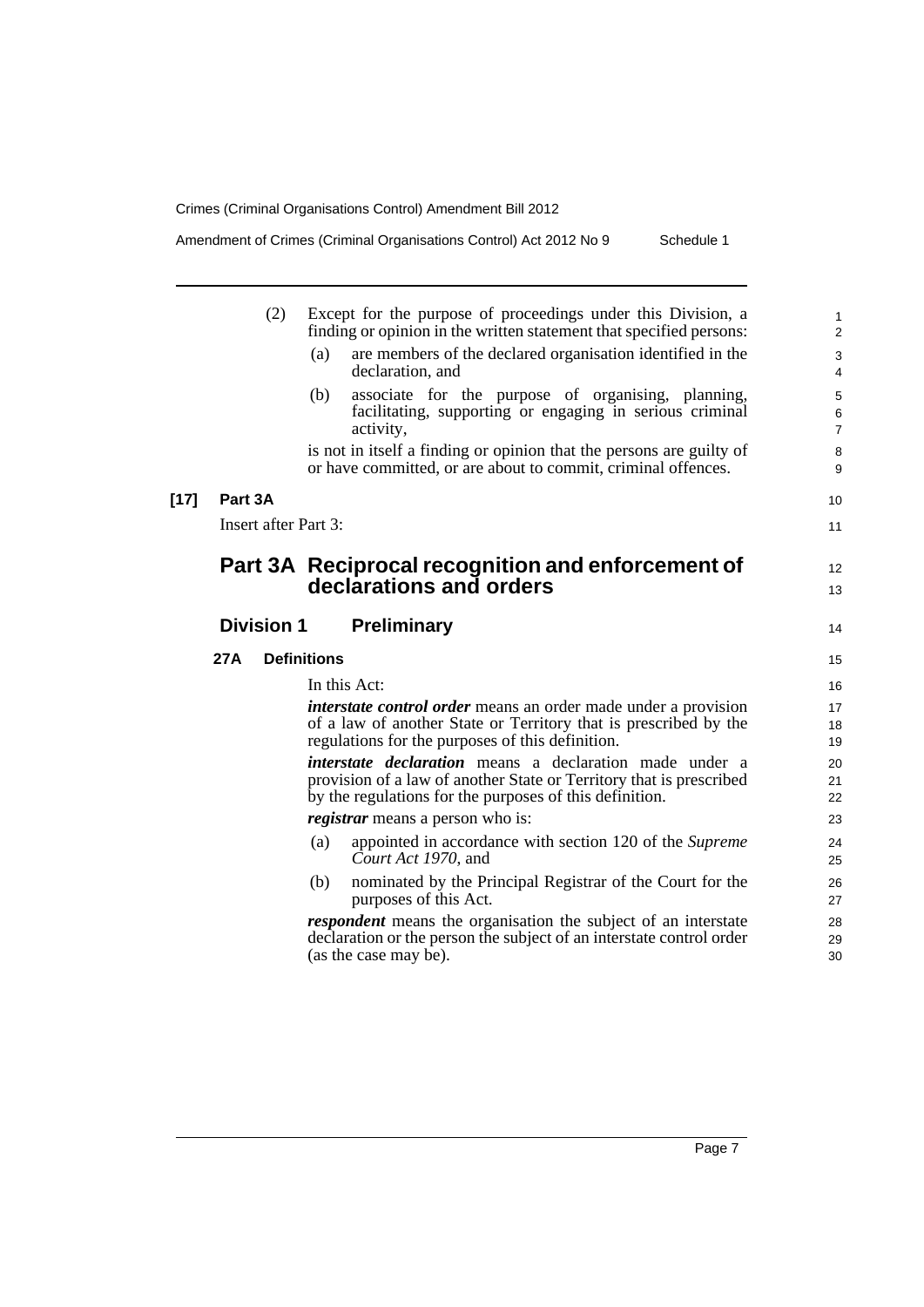|        |            | (2)               | Except for the purpose of proceedings under this Division, a<br>finding or opinion in the written statement that specified persons:                                                              | $\mathbf{1}$<br>2                  |
|--------|------------|-------------------|--------------------------------------------------------------------------------------------------------------------------------------------------------------------------------------------------|------------------------------------|
|        |            |                   | are members of the declared organisation identified in the<br>(a)<br>declaration, and                                                                                                            | $\mathsf 3$<br>$\overline{4}$      |
|        |            |                   | associate for the purpose of organising, planning,<br>(b)<br>facilitating, supporting or engaging in serious criminal<br>activity,                                                               | $\mathbf 5$<br>6<br>$\overline{7}$ |
|        |            |                   | is not in itself a finding or opinion that the persons are guilty of<br>or have committed, or are about to commit, criminal offences.                                                            | 8<br>9                             |
| $[17]$ | Part 3A    |                   |                                                                                                                                                                                                  | 10                                 |
|        |            |                   | Insert after Part 3:                                                                                                                                                                             | 11                                 |
|        |            |                   | Part 3A Reciprocal recognition and enforcement of                                                                                                                                                | 12                                 |
|        |            |                   | declarations and orders                                                                                                                                                                          | 13                                 |
|        |            | <b>Division 1</b> | <b>Preliminary</b>                                                                                                                                                                               | 14                                 |
|        | <b>27A</b> |                   | <b>Definitions</b>                                                                                                                                                                               | 15                                 |
|        |            |                   | In this Act:                                                                                                                                                                                     | 16                                 |
|        |            |                   | <i>interstate control order</i> means an order made under a provision<br>of a law of another State or Territory that is prescribed by the<br>regulations for the purposes of this definition.    | 17<br>18<br>19                     |
|        |            |                   | <i>interstate declaration</i> means a declaration made under a<br>provision of a law of another State or Territory that is prescribed<br>by the regulations for the purposes of this definition. | 20<br>21<br>22                     |
|        |            |                   | <i>registrar</i> means a person who is:                                                                                                                                                          | 23                                 |
|        |            |                   | appointed in accordance with section 120 of the Supreme<br>(a)<br>Court Act 1970, and                                                                                                            | 24<br>25                           |
|        |            |                   | nominated by the Principal Registrar of the Court for the<br>(b)<br>purposes of this Act.                                                                                                        | 26<br>27                           |
|        |            |                   | <i>respondent</i> means the organisation the subject of an interstate<br>declaration or the person the subject of an interstate control order<br>(as the case may be).                           | 28<br>29<br>30                     |
|        |            |                   |                                                                                                                                                                                                  |                                    |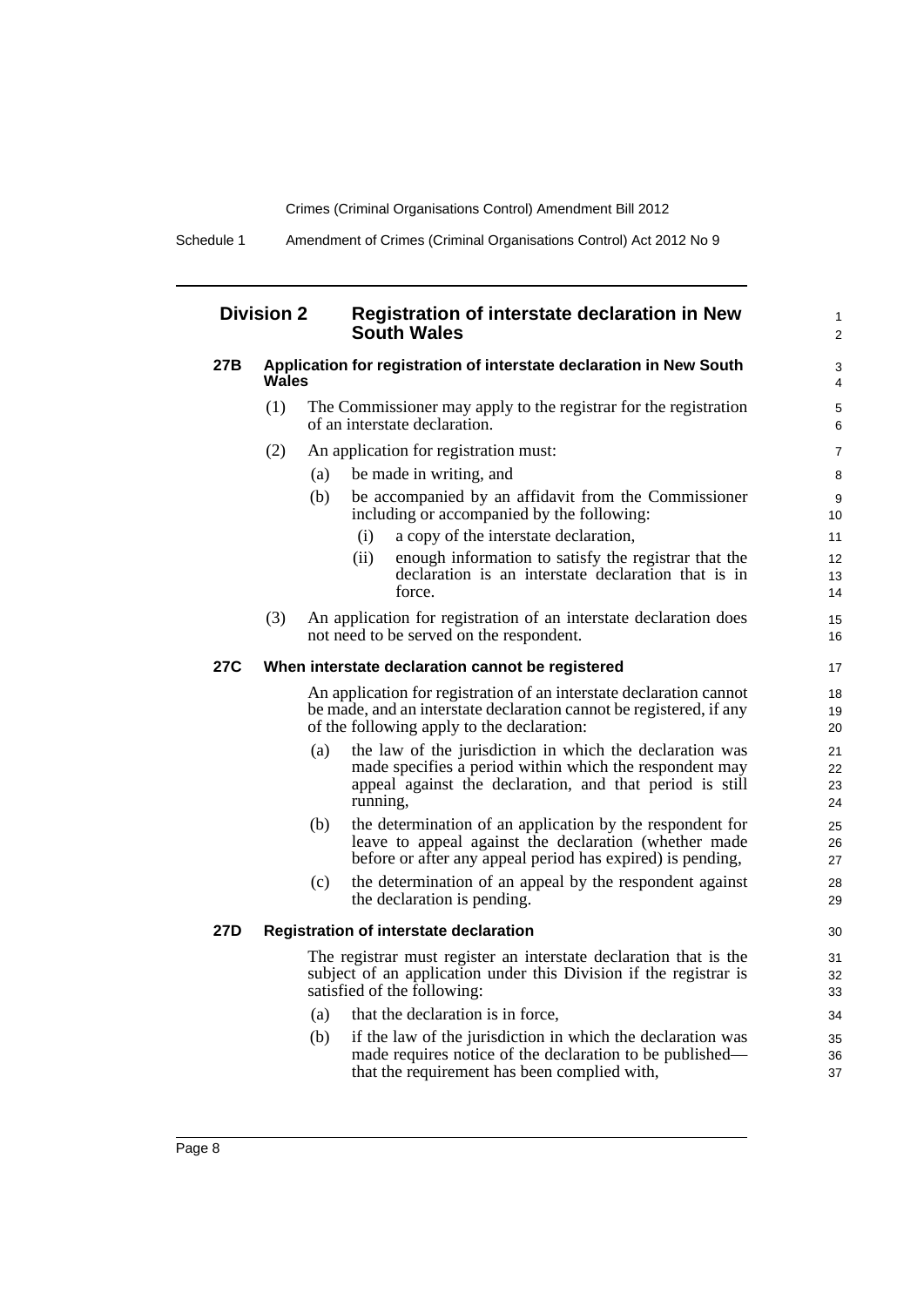Schedule 1 Amendment of Crimes (Criminal Organisations Control) Act 2012 No 9

### **Division 2 Registration of interstate declaration in New South Wales**

#### **27B Application for registration of interstate declaration in New South Wales**

- (1) The Commissioner may apply to the registrar for the registration of an interstate declaration.
- (2) An application for registration must:
	- (a) be made in writing, and
	- (b) be accompanied by an affidavit from the Commissioner including or accompanied by the following:
		- (i) a copy of the interstate declaration,
		- (ii) enough information to satisfy the registrar that the declaration is an interstate declaration that is in force.

1 2

(3) An application for registration of an interstate declaration does not need to be served on the respondent.

#### **27C When interstate declaration cannot be registered**

An application for registration of an interstate declaration cannot be made, and an interstate declaration cannot be registered, if any of the following apply to the declaration:

- (a) the law of the jurisdiction in which the declaration was made specifies a period within which the respondent may appeal against the declaration, and that period is still running,
- (b) the determination of an application by the respondent for leave to appeal against the declaration (whether made before or after any appeal period has expired) is pending,
- (c) the determination of an appeal by the respondent against the declaration is pending.

### **27D Registration of interstate declaration**

The registrar must register an interstate declaration that is the subject of an application under this Division if the registrar is satisfied of the following:

- (a) that the declaration is in force,
- (b) if the law of the jurisdiction in which the declaration was made requires notice of the declaration to be published that the requirement has been complied with,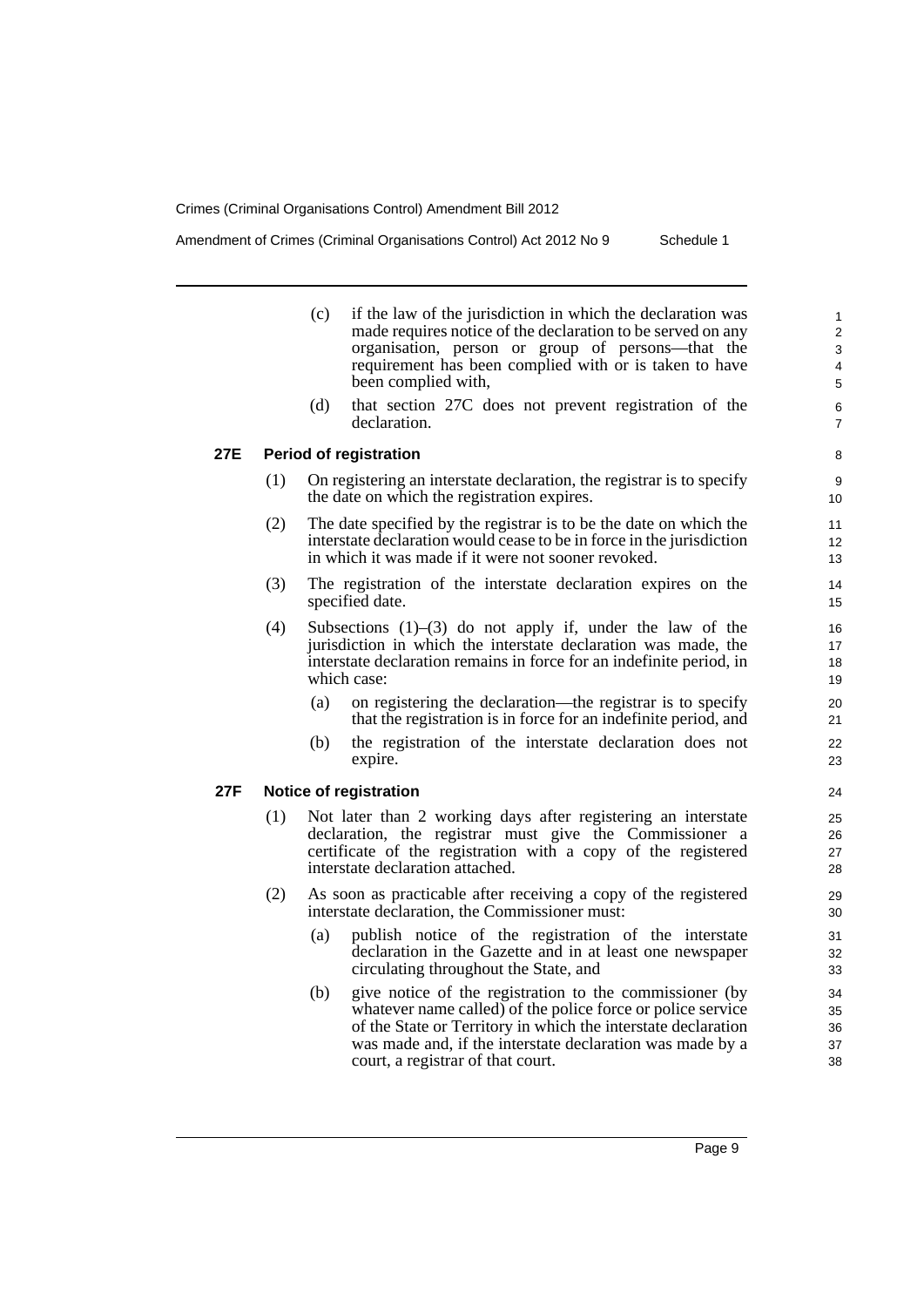Amendment of Crimes (Criminal Organisations Control) Act 2012 No 9 Schedule 1

- (c) if the law of the jurisdiction in which the declaration was made requires notice of the declaration to be served on any organisation, person or group of persons—that the requirement has been complied with or is taken to have been complied with,
- (d) that section 27C does not prevent registration of the declaration.

### **27E Period of registration**

- (1) On registering an interstate declaration, the registrar is to specify the date on which the registration expires.
- (2) The date specified by the registrar is to be the date on which the interstate declaration would cease to be in force in the jurisdiction in which it was made if it were not sooner revoked.
- (3) The registration of the interstate declaration expires on the specified date.
- (4) Subsections (1)–(3) do not apply if, under the law of the jurisdiction in which the interstate declaration was made, the interstate declaration remains in force for an indefinite period, in which case:
	- (a) on registering the declaration—the registrar is to specify that the registration is in force for an indefinite period, and
	- (b) the registration of the interstate declaration does not expire.

### **27F Notice of registration**

- (1) Not later than 2 working days after registering an interstate declaration, the registrar must give the Commissioner a certificate of the registration with a copy of the registered interstate declaration attached.
- (2) As soon as practicable after receiving a copy of the registered interstate declaration, the Commissioner must:
	- (a) publish notice of the registration of the interstate declaration in the Gazette and in at least one newspaper circulating throughout the State, and
	- (b) give notice of the registration to the commissioner (by whatever name called) of the police force or police service of the State or Territory in which the interstate declaration was made and, if the interstate declaration was made by a court, a registrar of that court.

21  $22$ 23

24

25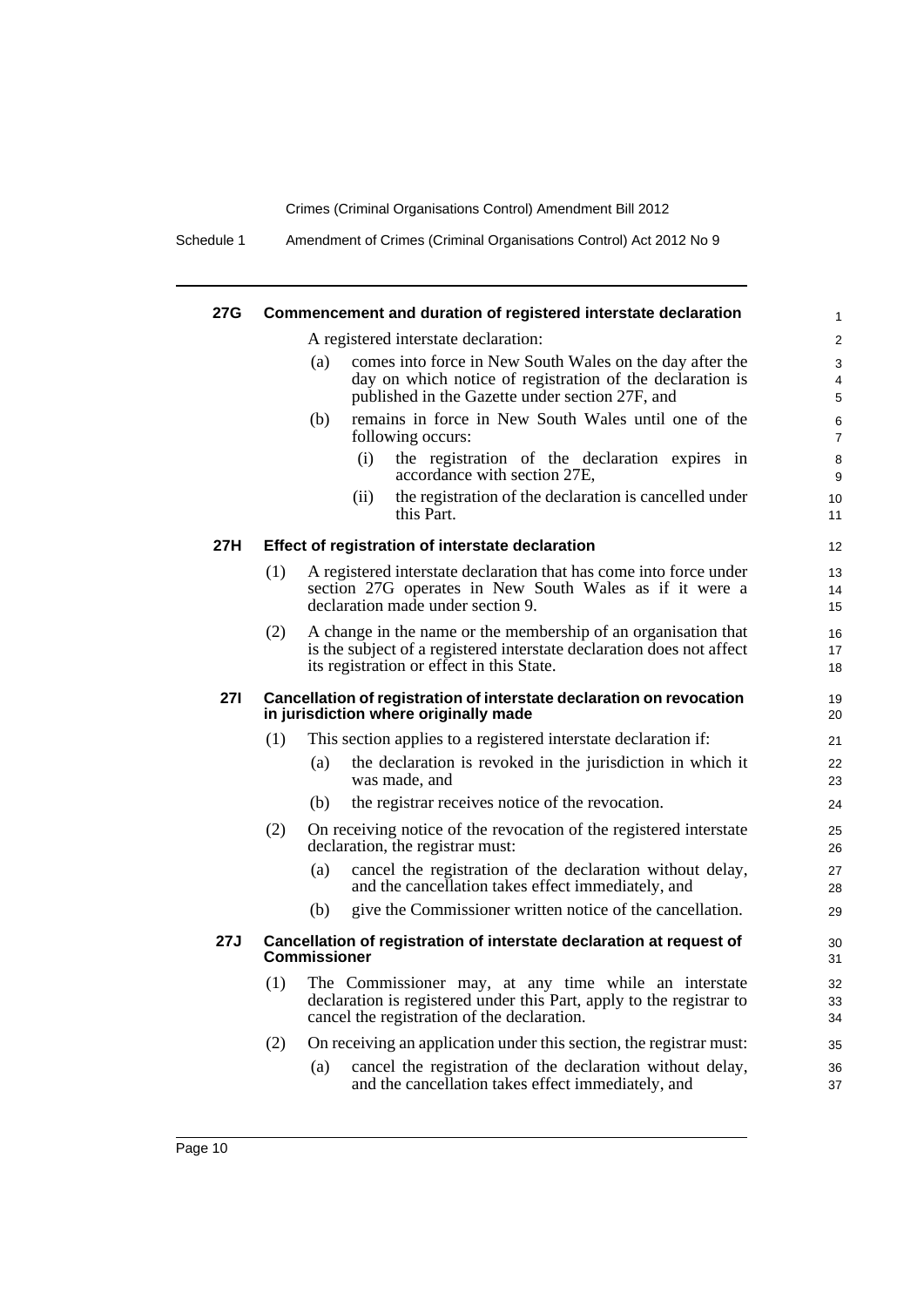Schedule 1 Amendment of Crimes (Criminal Organisations Control) Act 2012 No 9

| 27G        |     | Commencement and duration of registered interstate declaration                                                                                                                       | $\mathbf{1}$        |
|------------|-----|--------------------------------------------------------------------------------------------------------------------------------------------------------------------------------------|---------------------|
|            |     | A registered interstate declaration:                                                                                                                                                 | $\overline{2}$      |
|            |     | comes into force in New South Wales on the day after the<br>(a)                                                                                                                      | 3                   |
|            |     | day on which notice of registration of the declaration is<br>published in the Gazette under section 27F, and                                                                         | 4<br>5              |
|            |     | remains in force in New South Wales until one of the<br>(b)<br>following occurs:                                                                                                     | 6<br>$\overline{7}$ |
|            |     | the registration of the declaration expires in<br>(i)<br>accordance with section 27E,                                                                                                | 8<br>9              |
|            |     | the registration of the declaration is cancelled under<br>(ii)<br>this Part.                                                                                                         | 10<br>11            |
| 27H        |     | Effect of registration of interstate declaration                                                                                                                                     | $12 \overline{ }$   |
|            | (1) | A registered interstate declaration that has come into force under<br>section 27G operates in New South Wales as if it were a<br>declaration made under section 9.                   | 13<br>14<br>15      |
|            | (2) | A change in the name or the membership of an organisation that<br>is the subject of a registered interstate declaration does not affect<br>its registration or effect in this State. | 16<br>17<br>18      |
| <b>271</b> |     | Cancellation of registration of interstate declaration on revocation<br>in jurisdiction where originally made                                                                        | 19<br>20            |
|            | (1) | This section applies to a registered interstate declaration if:                                                                                                                      | 21                  |
|            |     | (a)<br>the declaration is revoked in the jurisdiction in which it<br>was made, and                                                                                                   | 22<br>23            |
|            |     | (b)<br>the registrar receives notice of the revocation.                                                                                                                              | 24                  |
|            | (2) | On receiving notice of the revocation of the registered interstate<br>declaration, the registrar must:                                                                               | 25<br>26            |
|            |     | (a)<br>cancel the registration of the declaration without delay,<br>and the cancellation takes effect immediately, and                                                               | 27<br>28            |
|            |     | give the Commissioner written notice of the cancellation.<br>(b)                                                                                                                     | 29                  |
| 27J        |     | Cancellation of registration of interstate declaration at request of<br><b>Commissioner</b>                                                                                          | 30<br>31            |
|            | (1) | The Commissioner may, at any time while an interstate<br>declaration is registered under this Part, apply to the registrar to<br>cancel the registration of the declaration.         | 32<br>33<br>34      |
|            | (2) | On receiving an application under this section, the registrar must:                                                                                                                  | 35                  |
|            |     | cancel the registration of the declaration without delay,<br>(a)<br>and the cancellation takes effect immediately, and                                                               | 36<br>37            |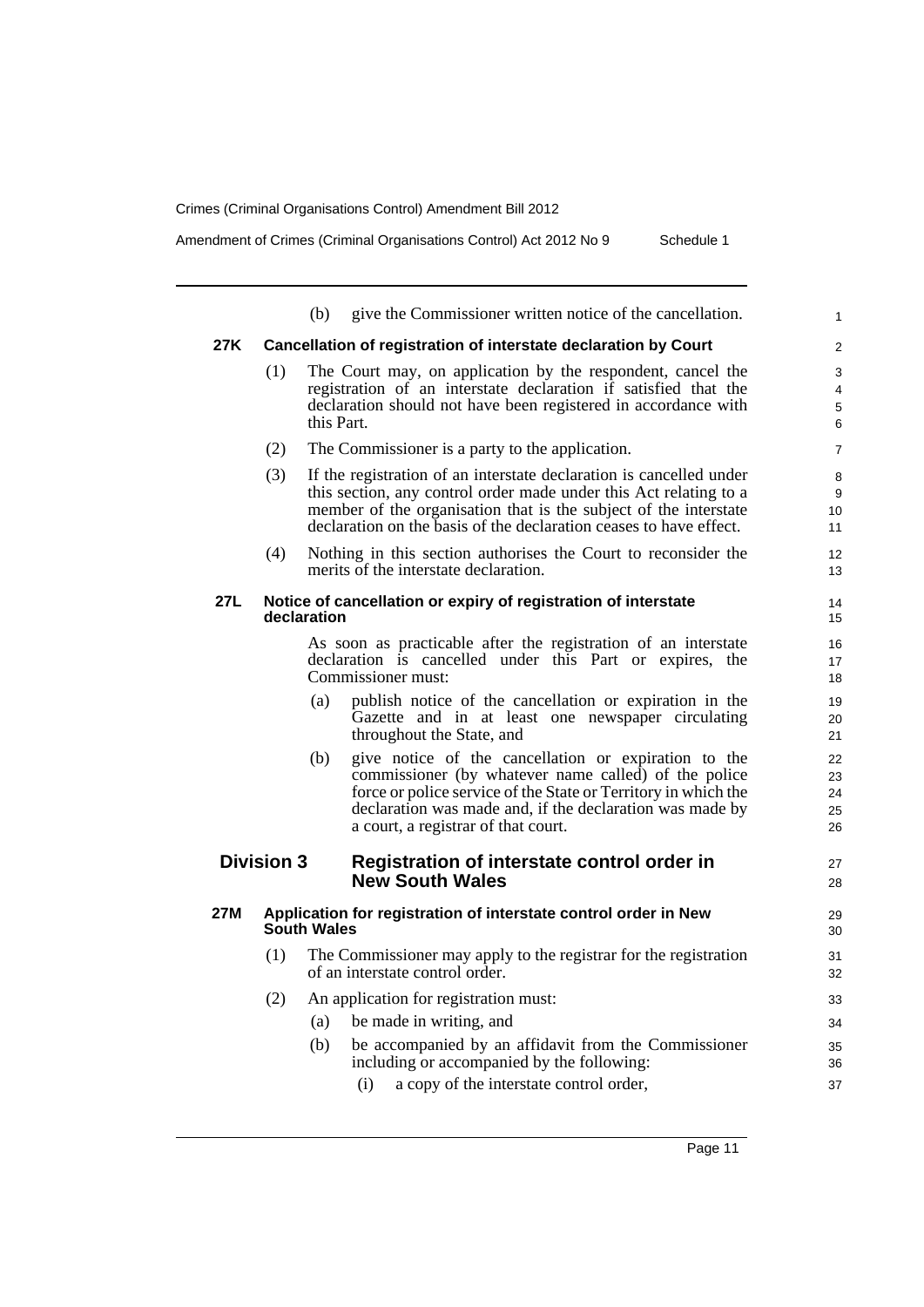|     |                   | (b)         | give the Commissioner written notice of the cancellation.                                                                                                                                                                                                                          | 1                          |
|-----|-------------------|-------------|------------------------------------------------------------------------------------------------------------------------------------------------------------------------------------------------------------------------------------------------------------------------------------|----------------------------|
| 27K |                   |             | Cancellation of registration of interstate declaration by Court                                                                                                                                                                                                                    | $\overline{2}$             |
|     | (1)               | this Part.  | The Court may, on application by the respondent, cancel the<br>registration of an interstate declaration if satisfied that the<br>declaration should not have been registered in accordance with                                                                                   | 3<br>4<br>5<br>6           |
|     | (2)               |             | The Commissioner is a party to the application.                                                                                                                                                                                                                                    | $\overline{7}$             |
|     | (3)               |             | If the registration of an interstate declaration is cancelled under<br>this section, any control order made under this Act relating to a<br>member of the organisation that is the subject of the interstate<br>declaration on the basis of the declaration ceases to have effect. | 8<br>9<br>10<br>11         |
|     | (4)               |             | Nothing in this section authorises the Court to reconsider the<br>merits of the interstate declaration.                                                                                                                                                                            | 12<br>13                   |
| 27L |                   | declaration | Notice of cancellation or expiry of registration of interstate                                                                                                                                                                                                                     | 14<br>15                   |
|     |                   |             | As soon as practicable after the registration of an interstate<br>declaration is cancelled under this Part or expires, the<br>Commissioner must:                                                                                                                                   | 16<br>17<br>18             |
|     |                   | (a)         | publish notice of the cancellation or expiration in the<br>Gazette and in at least one newspaper circulating<br>throughout the State, and                                                                                                                                          | 19<br>20<br>21             |
|     |                   | (b)         | give notice of the cancellation or expiration to the<br>commissioner (by whatever name called) of the police<br>force or police service of the State or Territory in which the<br>declaration was made and, if the declaration was made by<br>a court, a registrar of that court.  | 22<br>23<br>24<br>25<br>26 |
|     | <b>Division 3</b> |             | Registration of interstate control order in<br><b>New South Wales</b>                                                                                                                                                                                                              | 27<br>28                   |
| 27M |                   | South Wales | Application for registration of interstate control order in New                                                                                                                                                                                                                    | 29<br>30                   |
|     | (1)               |             | The Commissioner may apply to the registrar for the registration<br>of an interstate control order.                                                                                                                                                                                | 31<br>32                   |
|     | (2)               |             | An application for registration must:                                                                                                                                                                                                                                              | 33                         |
|     |                   | (a)         | be made in writing, and                                                                                                                                                                                                                                                            | 34                         |
|     |                   | (b)         | be accompanied by an affidavit from the Commissioner<br>including or accompanied by the following:                                                                                                                                                                                 | 35<br>36                   |
|     |                   |             | (i)<br>a copy of the interstate control order,                                                                                                                                                                                                                                     | 37                         |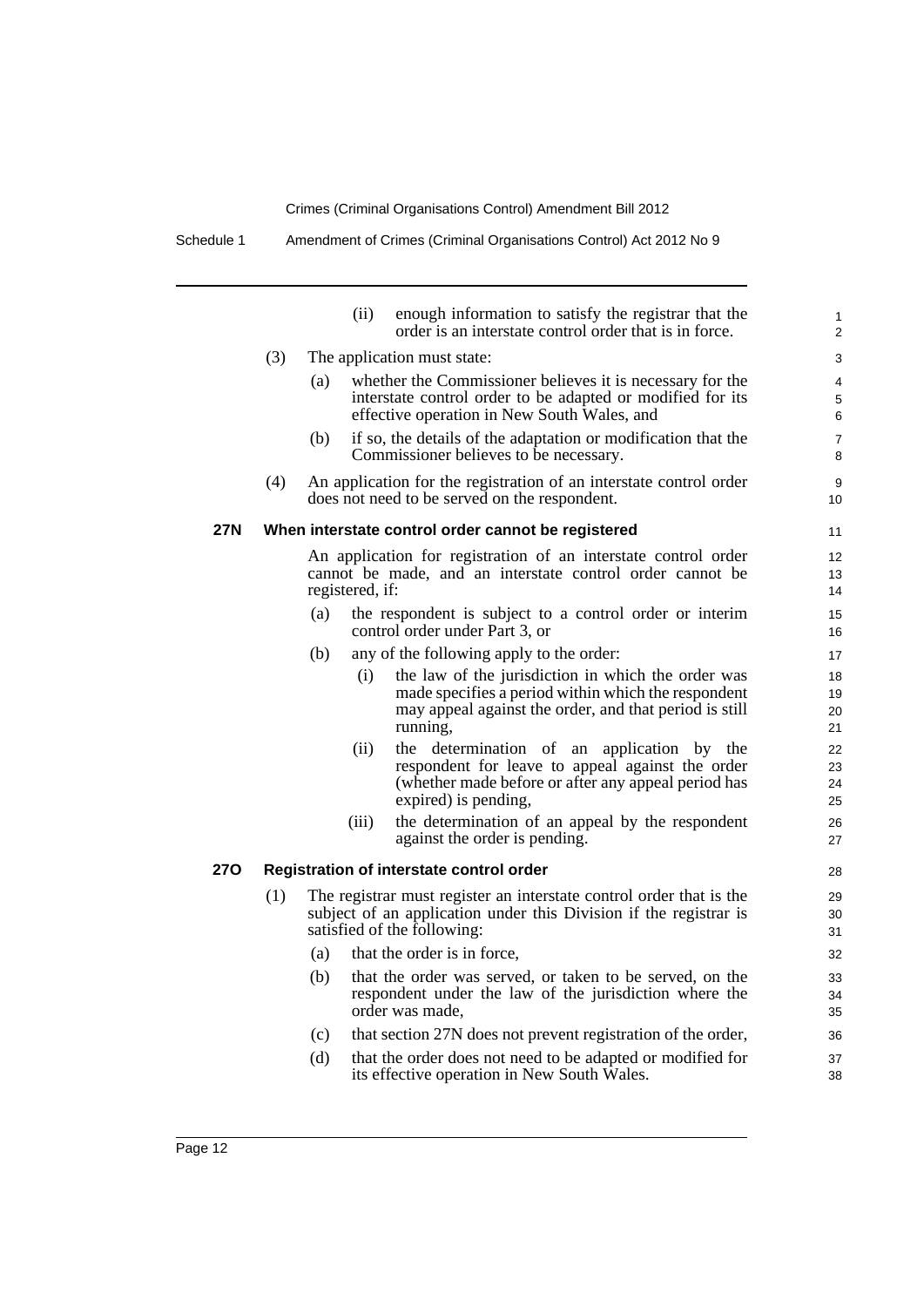|            |     |     | (ii)            | enough information to satisfy the registrar that the<br>order is an interstate control order that is in force. | 1<br>$\overline{2}$ |
|------------|-----|-----|-----------------|----------------------------------------------------------------------------------------------------------------|---------------------|
|            | (3) |     |                 | The application must state:                                                                                    | 3                   |
|            |     | (a) |                 | whether the Commissioner believes it is necessary for the                                                      | 4                   |
|            |     |     |                 | interstate control order to be adapted or modified for its                                                     | 5                   |
|            |     |     |                 | effective operation in New South Wales, and                                                                    | 6                   |
|            |     | (b) |                 | if so, the details of the adaptation or modification that the<br>Commissioner believes to be necessary.        | $\overline{7}$<br>8 |
|            | (4) |     |                 | An application for the registration of an interstate control order                                             | 9                   |
|            |     |     |                 | does not need to be served on the respondent.                                                                  | 10                  |
| <b>27N</b> |     |     |                 | When interstate control order cannot be registered                                                             | 11                  |
|            |     |     |                 | An application for registration of an interstate control order                                                 | 12                  |
|            |     |     |                 | cannot be made, and an interstate control order cannot be                                                      | 13                  |
|            |     |     | registered, if: |                                                                                                                | 14                  |
|            |     | (a) |                 | the respondent is subject to a control order or interim<br>control order under Part 3, or                      | 15<br>16            |
|            |     | (b) |                 | any of the following apply to the order:                                                                       | 17                  |
|            |     |     | (i)             | the law of the jurisdiction in which the order was                                                             | 18                  |
|            |     |     |                 | made specifies a period within which the respondent                                                            | 19                  |
|            |     |     |                 | may appeal against the order, and that period is still<br>running,                                             | 20<br>21            |
|            |     |     | (ii)            | the determination of an application by the                                                                     | 22                  |
|            |     |     |                 | respondent for leave to appeal against the order                                                               | 23                  |
|            |     |     |                 | (whether made before or after any appeal period has<br>expired) is pending,                                    | 24<br>25            |
|            |     |     | (iii)           | the determination of an appeal by the respondent                                                               | 26                  |
|            |     |     |                 | against the order is pending.                                                                                  | 27                  |
| 27O        |     |     |                 | Registration of interstate control order                                                                       | 28                  |
|            | (1) |     |                 | The registrar must register an interstate control order that is the                                            | 29                  |
|            |     |     |                 | subject of an application under this Division if the registrar is                                              | 30                  |
|            |     |     |                 | satisfied of the following:                                                                                    | 31                  |
|            |     | (a) |                 | that the order is in force,                                                                                    | 32                  |
|            |     | (b) |                 | that the order was served, or taken to be served, on the                                                       | 33                  |
|            |     |     |                 | respondent under the law of the jurisdiction where the<br>order was made,                                      | 34<br>35            |
|            |     | (c) |                 | that section 27N does not prevent registration of the order,                                                   | 36                  |
|            |     |     |                 |                                                                                                                |                     |
|            |     | (d) |                 | that the order does not need to be adapted or modified for<br>its effective operation in New South Wales.      | 37<br>38            |
|            |     |     |                 |                                                                                                                |                     |
|            |     |     |                 |                                                                                                                |                     |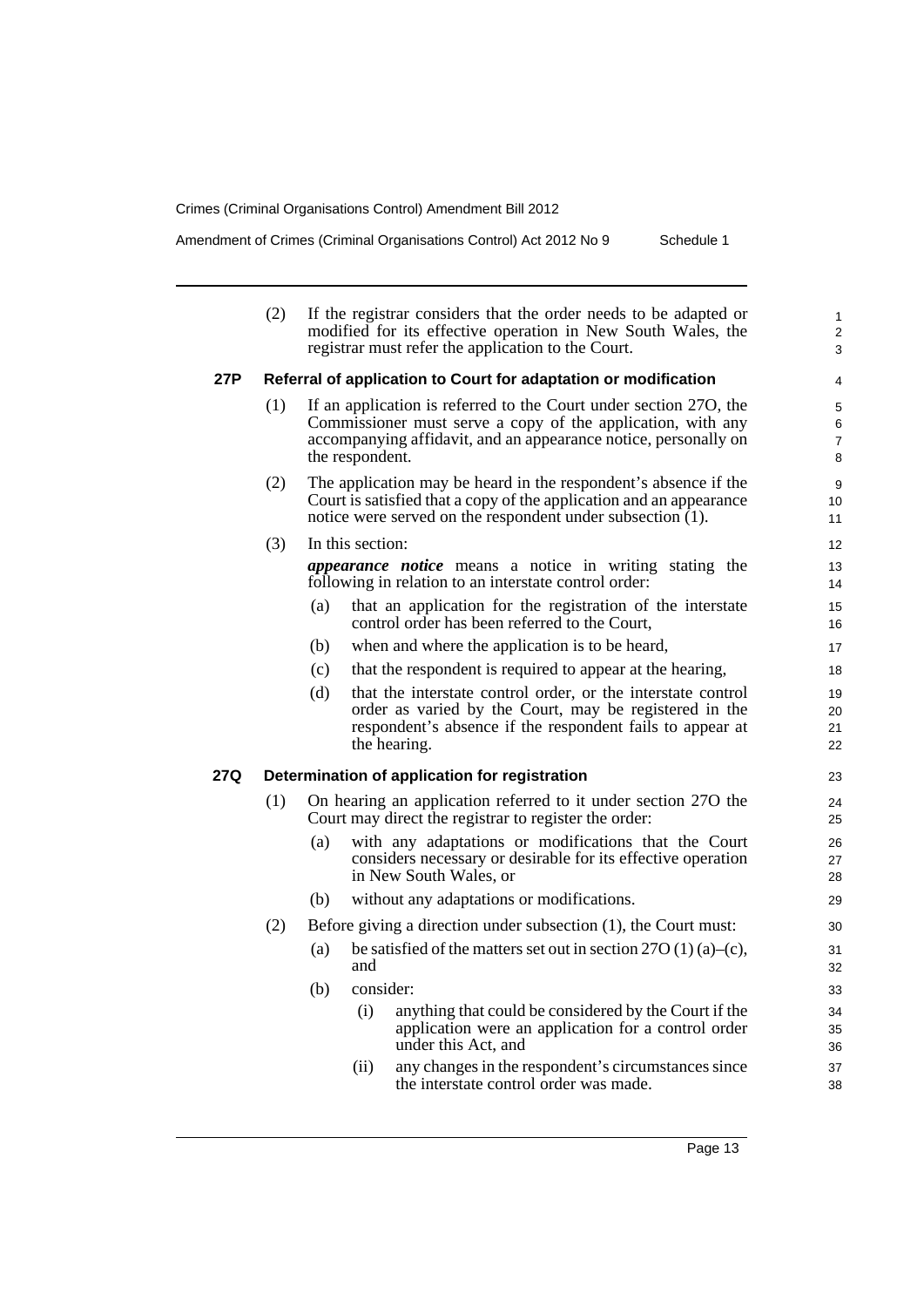i.

Amendment of Crimes (Criminal Organisations Control) Act 2012 No 9 Schedule 1

|     | (2)                                                             |     |                  | If the registrar considers that the order needs to be adapted or<br>modified for its effective operation in New South Wales, the<br>registrar must refer the application to the Court.               | $\mathbf{1}$<br>2<br>3        |  |  |  |  |  |
|-----|-----------------------------------------------------------------|-----|------------------|------------------------------------------------------------------------------------------------------------------------------------------------------------------------------------------------------|-------------------------------|--|--|--|--|--|
| 27P | Referral of application to Court for adaptation or modification |     |                  |                                                                                                                                                                                                      |                               |  |  |  |  |  |
|     | (1)                                                             |     | the respondent.  | If an application is referred to the Court under section 270, the<br>Commissioner must serve a copy of the application, with any<br>accompanying affidavit, and an appearance notice, personally on  | 5<br>6<br>$\overline{7}$<br>8 |  |  |  |  |  |
|     | (2)                                                             |     |                  | The application may be heard in the respondent's absence if the<br>Court is satisfied that a copy of the application and an appearance<br>notice were served on the respondent under subsection (1). | 9<br>10<br>11                 |  |  |  |  |  |
|     | (3)                                                             |     | In this section: |                                                                                                                                                                                                      | 12                            |  |  |  |  |  |
|     |                                                                 |     |                  | <i>appearance notice</i> means a notice in writing stating the<br>following in relation to an interstate control order:                                                                              | 13<br>14                      |  |  |  |  |  |
|     |                                                                 | (a) |                  | that an application for the registration of the interstate<br>control order has been referred to the Court,                                                                                          | 15<br>16                      |  |  |  |  |  |
|     |                                                                 | (b) |                  | when and where the application is to be heard,                                                                                                                                                       | 17                            |  |  |  |  |  |
|     |                                                                 | (c) |                  | that the respondent is required to appear at the hearing,                                                                                                                                            | 18                            |  |  |  |  |  |
|     |                                                                 | (d) |                  | that the interstate control order, or the interstate control<br>order as varied by the Court, may be registered in the<br>respondent's absence if the respondent fails to appear at<br>the hearing.  | 19<br>20<br>21<br>22          |  |  |  |  |  |
| 27Q |                                                                 |     |                  | Determination of application for registration                                                                                                                                                        | 23                            |  |  |  |  |  |
|     | (1)                                                             |     |                  | On hearing an application referred to it under section 270 the<br>Court may direct the registrar to register the order:                                                                              | 24<br>25                      |  |  |  |  |  |
|     |                                                                 | (a) |                  | with any adaptations or modifications that the Court<br>considers necessary or desirable for its effective operation<br>in New South Wales, or                                                       | 26<br>27<br>28                |  |  |  |  |  |
|     |                                                                 | (b) |                  | without any adaptations or modifications.                                                                                                                                                            | 29                            |  |  |  |  |  |
|     | (2)                                                             |     |                  | Before giving a direction under subsection (1), the Court must:                                                                                                                                      | 30                            |  |  |  |  |  |
|     |                                                                 | (a) | and              | be satisfied of the matters set out in section $27O(1)(a)-(c)$ ,                                                                                                                                     | 31<br>32                      |  |  |  |  |  |
|     |                                                                 | (b) | consider:        |                                                                                                                                                                                                      | 33                            |  |  |  |  |  |
|     |                                                                 |     | (i)              | anything that could be considered by the Court if the<br>application were an application for a control order<br>under this Act, and                                                                  | 34<br>35<br>36                |  |  |  |  |  |
|     |                                                                 |     | (ii)             | any changes in the respondent's circumstances since<br>the interstate control order was made.                                                                                                        | 37<br>38                      |  |  |  |  |  |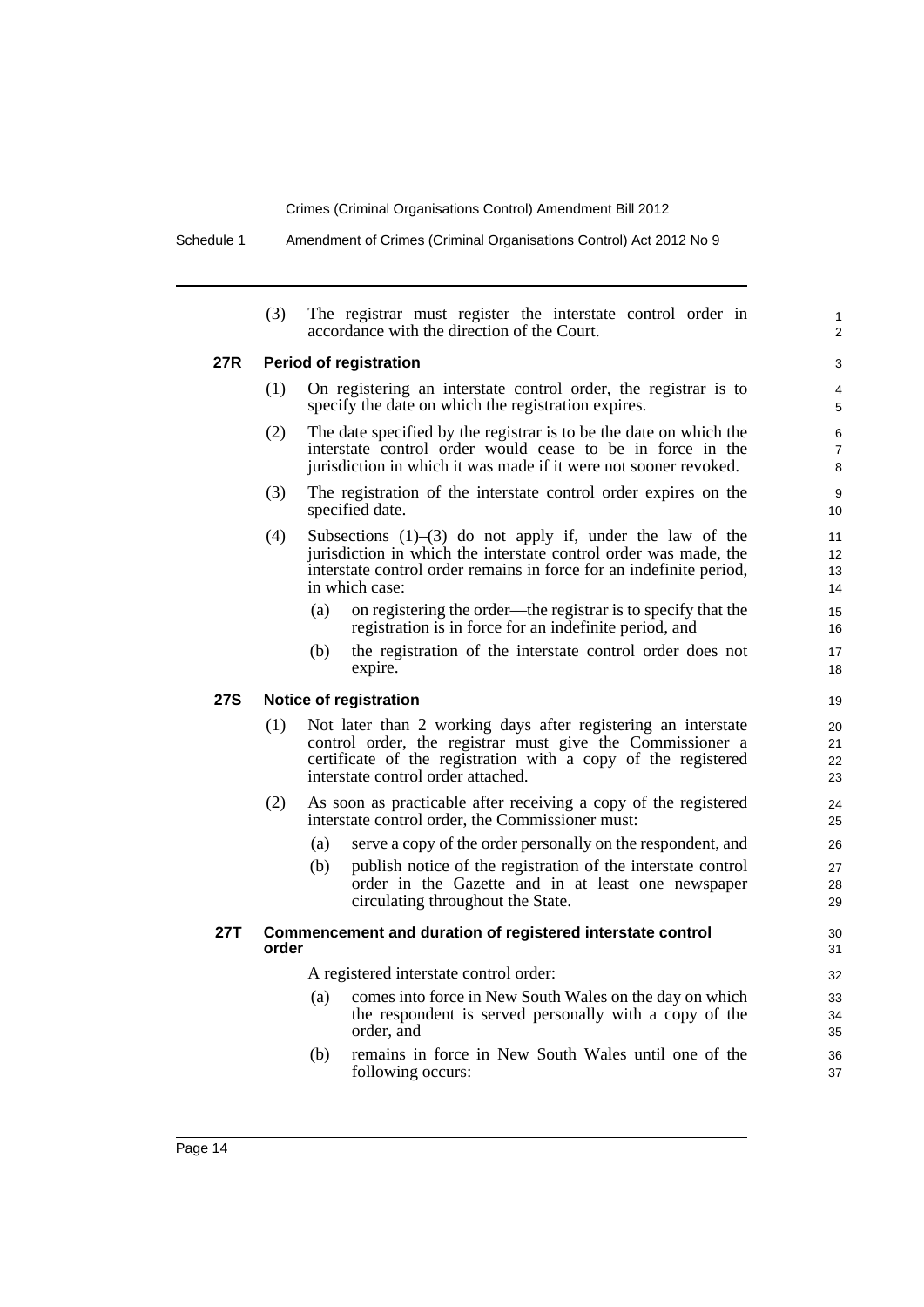Schedule 1 Amendment of Crimes (Criminal Organisations Control) Act 2012 No 9

|            | (3)   |     | The registrar must register the interstate control order in<br>accordance with the direction of the Court.                                                                                                                        | 1<br>$\overline{2}$               |
|------------|-------|-----|-----------------------------------------------------------------------------------------------------------------------------------------------------------------------------------------------------------------------------------|-----------------------------------|
| 27R        |       |     | <b>Period of registration</b>                                                                                                                                                                                                     | 3                                 |
|            | (1)   |     | On registering an interstate control order, the registrar is to<br>specify the date on which the registration expires.                                                                                                            | 4<br>5                            |
|            | (2)   |     | The date specified by the registrar is to be the date on which the<br>interstate control order would cease to be in force in the<br>jurisdiction in which it was made if it were not sooner revoked.                              | 6<br>$\overline{7}$<br>8          |
|            | (3)   |     | The registration of the interstate control order expires on the<br>specified date.                                                                                                                                                | 9<br>10 <sup>°</sup>              |
|            | (4)   |     | Subsections $(1)$ – $(3)$ do not apply if, under the law of the<br>jurisdiction in which the interstate control order was made, the<br>interstate control order remains in force for an indefinite period,<br>in which case:      | 11<br>12 <sup>2</sup><br>13<br>14 |
|            |       | (a) | on registering the order—the registrar is to specify that the<br>registration is in force for an indefinite period, and                                                                                                           | 15<br>16                          |
|            |       | (b) | the registration of the interstate control order does not<br>expire.                                                                                                                                                              | 17<br>18                          |
| <b>27S</b> |       |     | <b>Notice of registration</b>                                                                                                                                                                                                     | 19                                |
|            | (1)   |     | Not later than 2 working days after registering an interstate<br>control order, the registrar must give the Commissioner a<br>certificate of the registration with a copy of the registered<br>interstate control order attached. | 20<br>21<br>22<br>23              |
|            | (2)   |     | As soon as practicable after receiving a copy of the registered<br>interstate control order, the Commissioner must:                                                                                                               | 24<br>25                          |
|            |       | (a) | serve a copy of the order personally on the respondent, and                                                                                                                                                                       | 26                                |
|            |       | (b) | publish notice of the registration of the interstate control<br>order in the Gazette and in at least one newspaper<br>circulating throughout the State.                                                                           | 27<br>28<br>29                    |
| 27T        | order |     | Commencement and duration of registered interstate control                                                                                                                                                                        | 30<br>31                          |
|            |       |     | A registered interstate control order:                                                                                                                                                                                            | 32                                |
|            |       | (a) | comes into force in New South Wales on the day on which<br>the respondent is served personally with a copy of the<br>order, and                                                                                                   | 33<br>34<br>35                    |
|            |       | (b) | remains in force in New South Wales until one of the<br>following occurs:                                                                                                                                                         | 36<br>37                          |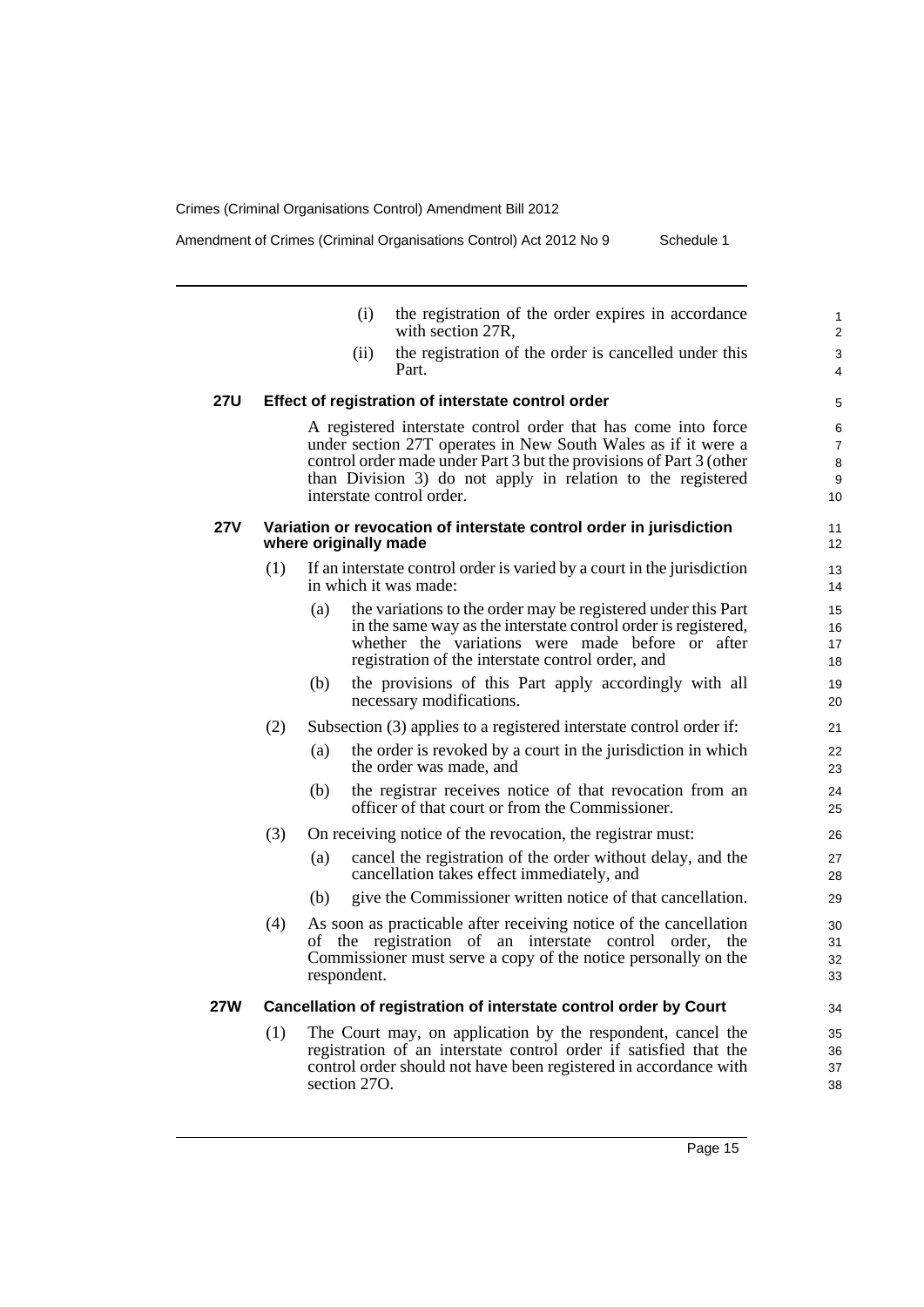Amendment of Crimes (Criminal Organisations Control) Act 2012 No 9 Schedule 1

|            |     | (i)                   | the registration of the order expires in accordance<br>with section 27R,                                                                                                                                                                                                                           | 1<br>$\overline{2}$                 |
|------------|-----|-----------------------|----------------------------------------------------------------------------------------------------------------------------------------------------------------------------------------------------------------------------------------------------------------------------------------------------|-------------------------------------|
|            |     | (ii)                  | the registration of the order is cancelled under this<br>Part.                                                                                                                                                                                                                                     | 3<br>4                              |
| <b>27U</b> |     |                       | Effect of registration of interstate control order                                                                                                                                                                                                                                                 | 5                                   |
|            |     |                       | A registered interstate control order that has come into force<br>under section 27T operates in New South Wales as if it were a<br>control order made under Part 3 but the provisions of Part 3 (other<br>than Division 3) do not apply in relation to the registered<br>interstate control order. | 6<br>$\overline{7}$<br>8<br>9<br>10 |
| <b>27V</b> |     | where originally made | Variation or revocation of interstate control order in jurisdiction                                                                                                                                                                                                                                | 11<br>12                            |
|            | (1) |                       | If an interstate control order is varied by a court in the jurisdiction<br>in which it was made:                                                                                                                                                                                                   | 13<br>14                            |
|            |     | (a)                   | the variations to the order may be registered under this Part<br>in the same way as the interstate control order is registered,<br>whether the variations were made before or after<br>registration of the interstate control order, and                                                           | 15<br>16<br>17<br>18                |
|            |     | (b)                   | the provisions of this Part apply accordingly with all<br>necessary modifications.                                                                                                                                                                                                                 | 19<br>20                            |
|            | (2) |                       | Subsection (3) applies to a registered interstate control order if:                                                                                                                                                                                                                                | 21                                  |
|            |     | (a)                   | the order is revoked by a court in the jurisdiction in which<br>the order was made, and                                                                                                                                                                                                            | 22<br>23                            |
|            |     | (b)                   | the registrar receives notice of that revocation from an<br>officer of that court or from the Commissioner.                                                                                                                                                                                        | 24<br>25                            |
|            | (3) |                       | On receiving notice of the revocation, the registrar must:                                                                                                                                                                                                                                         | 26                                  |
|            |     | (a)                   | cancel the registration of the order without delay, and the<br>cancellation takes effect immediately, and                                                                                                                                                                                          | 27<br>28                            |
|            |     | (b)                   | give the Commissioner written notice of that cancellation.                                                                                                                                                                                                                                         | 29                                  |
|            | (4) | respondent.           | As soon as practicable after receiving notice of the cancellation<br>of the registration of an interstate control order, the<br>Commissioner must serve a copy of the notice personally on the                                                                                                     | 30<br>31<br>32<br>33                |
| 27W        |     |                       | Cancellation of registration of interstate control order by Court                                                                                                                                                                                                                                  | 34                                  |
|            | (1) |                       | The Court may, on application by the respondent, cancel the<br>registration of an interstate control order if satisfied that the                                                                                                                                                                   | 35<br>36                            |

control order should not have been registered in accordance with

section 270.

37 38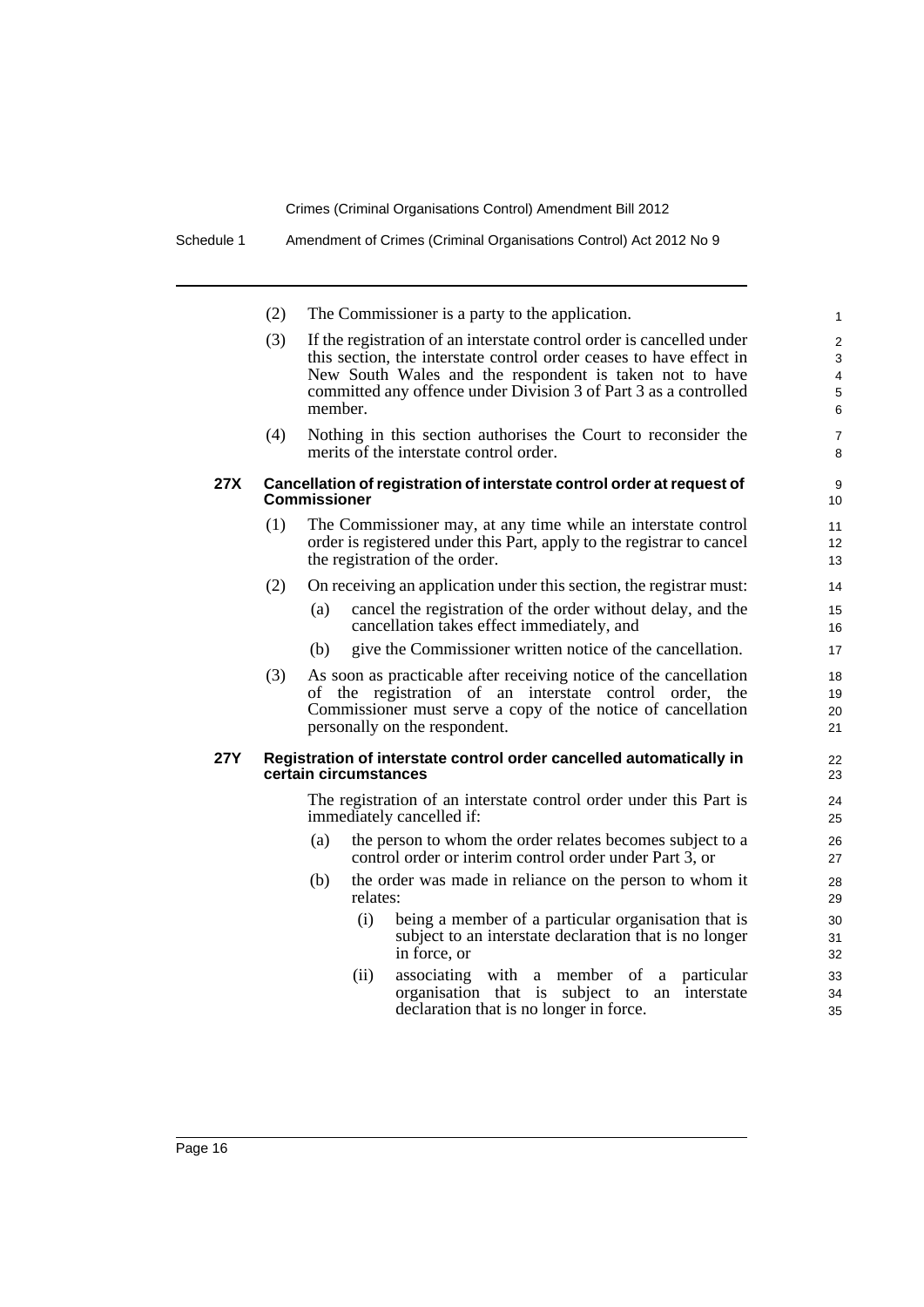|            | (2) | The Commissioner is a party to the application.                                                                                                                                                                                                                                        | $\mathbf{1}$                                             |
|------------|-----|----------------------------------------------------------------------------------------------------------------------------------------------------------------------------------------------------------------------------------------------------------------------------------------|----------------------------------------------------------|
|            | (3) | If the registration of an interstate control order is cancelled under<br>this section, the interstate control order ceases to have effect in<br>New South Wales and the respondent is taken not to have<br>committed any offence under Division 3 of Part 3 as a controlled<br>member. | $\overline{2}$<br>3<br>$\overline{\mathbf{4}}$<br>5<br>6 |
|            | (4) | Nothing in this section authorises the Court to reconsider the<br>merits of the interstate control order.                                                                                                                                                                              | $\overline{7}$<br>8                                      |
| 27X        |     | Cancellation of registration of interstate control order at request of<br><b>Commissioner</b>                                                                                                                                                                                          | 9<br>10                                                  |
|            | (1) | The Commissioner may, at any time while an interstate control<br>order is registered under this Part, apply to the registrar to cancel<br>the registration of the order.                                                                                                               | 11<br>12<br>13                                           |
|            | (2) | On receiving an application under this section, the registrar must:                                                                                                                                                                                                                    | 14                                                       |
|            |     | cancel the registration of the order without delay, and the<br>(a)<br>cancellation takes effect immediately, and                                                                                                                                                                       | 15<br>16                                                 |
|            |     | give the Commissioner written notice of the cancellation.<br>(b)                                                                                                                                                                                                                       | 17                                                       |
|            | (3) | As soon as practicable after receiving notice of the cancellation<br>of the registration of an interstate control order, the<br>Commissioner must serve a copy of the notice of cancellation<br>personally on the respondent.                                                          | 18<br>19<br>20<br>21                                     |
| <b>27Y</b> |     | Registration of interstate control order cancelled automatically in<br>certain circumstances                                                                                                                                                                                           | 22<br>23                                                 |
|            |     | The registration of an interstate control order under this Part is<br>immediately cancelled if:                                                                                                                                                                                        | 24<br>25                                                 |
|            |     | (a)<br>the person to whom the order relates becomes subject to a<br>control order or interim control order under Part 3, or                                                                                                                                                            | 26<br>27                                                 |
|            |     | (b)<br>the order was made in reliance on the person to whom it<br>relates:                                                                                                                                                                                                             | 28<br>29                                                 |
|            |     | (i)<br>being a member of a particular organisation that is<br>subject to an interstate declaration that is no longer<br>in force, or                                                                                                                                                   | 30<br>31<br>32                                           |
|            |     | associating with a member of<br>(ii)<br>particular<br>a<br>organisation that is subject to<br>interstate<br>an<br>declaration that is no longer in force.                                                                                                                              | 33<br>34<br>35                                           |